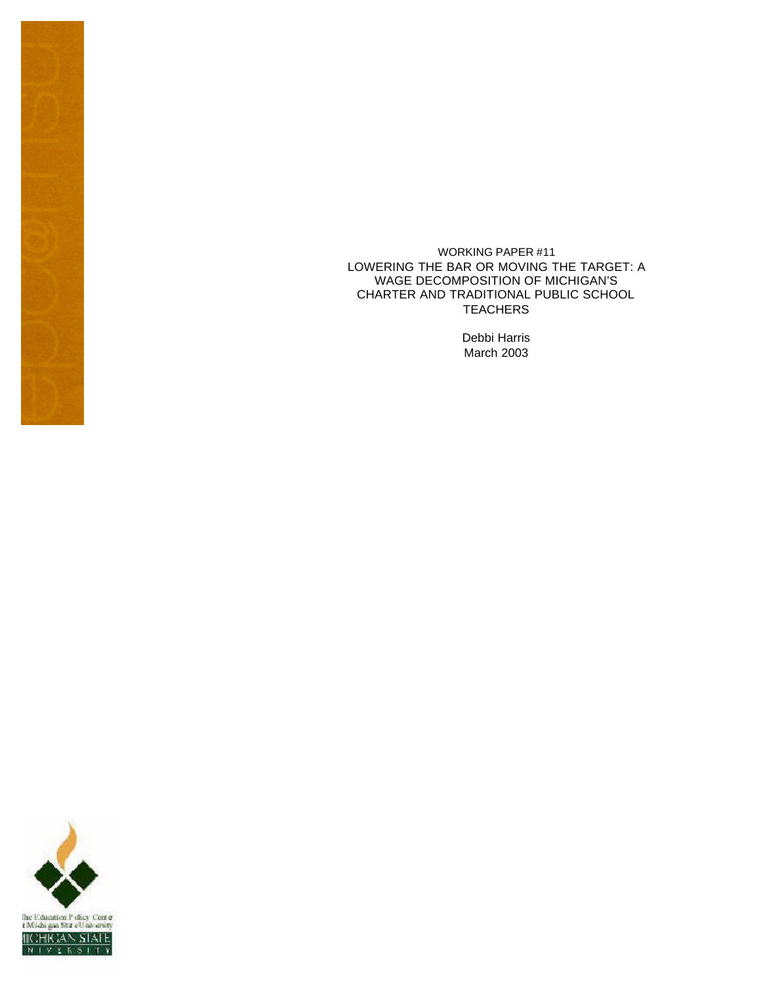WORKING PAPER #11 LOWERING THE BAR OR MOVING THE TARGET: A WAGE DECOMPOSITION OF MICHIGAN'S CHARTER AND TRADITIONAL PUBLIC SCHOOL **TEACHERS** 

> Debbi Harris March 2003

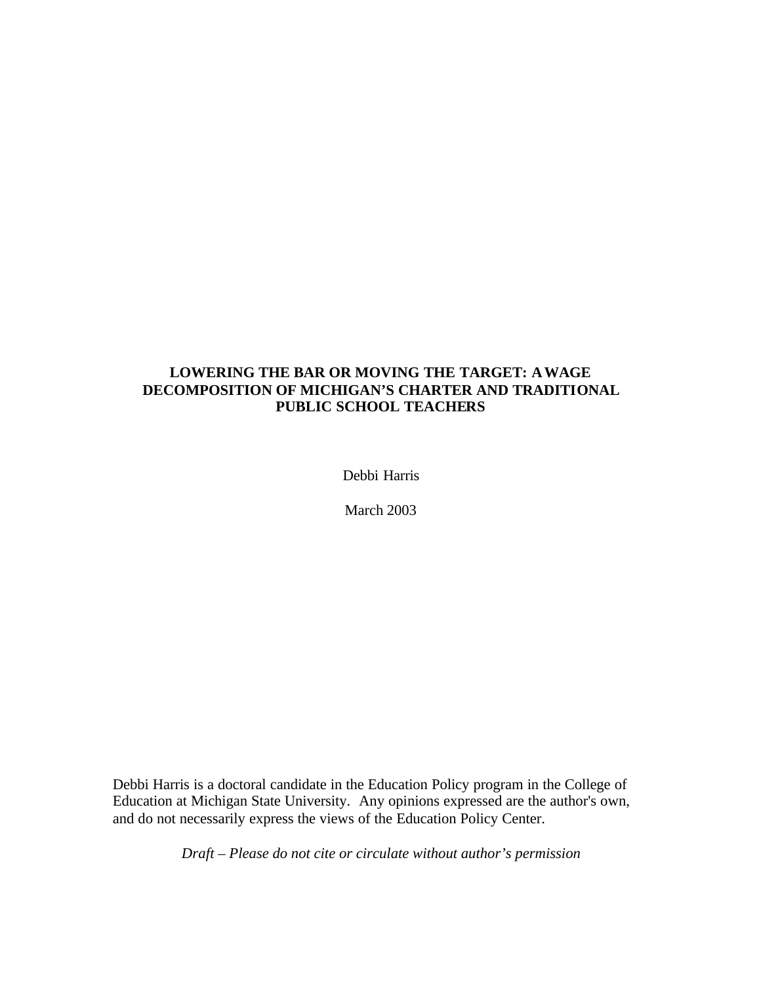# **LOWERING THE BAR OR MOVING THE TARGET: A WAGE DECOMPOSITION OF MICHIGAN'S CHARTER AND TRADITIONAL PUBLIC SCHOOL TEACHERS**

Debbi Harris

March 2003

Debbi Harris is a doctoral candidate in the Education Policy program in the College of Education at Michigan State University. Any opinions expressed are the author's own, and do not necessarily express the views of the Education Policy Center.

*Draft – Please do not cite or circulate without author's permission*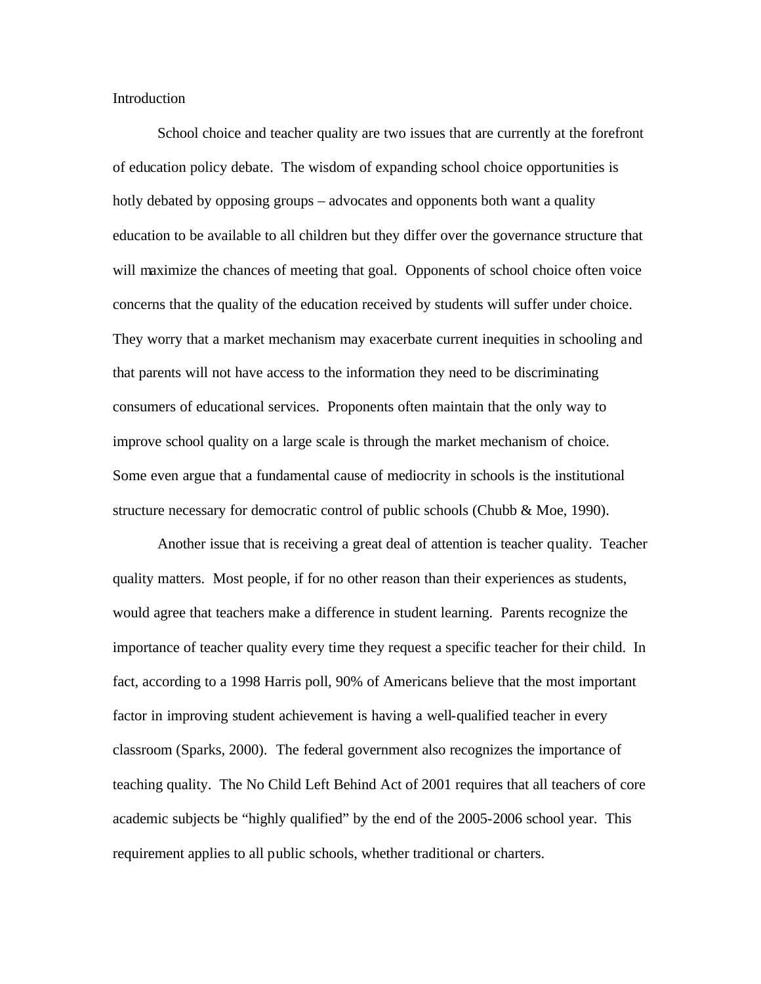Introduction

School choice and teacher quality are two issues that are currently at the forefront of education policy debate. The wisdom of expanding school choice opportunities is hotly debated by opposing groups – advocates and opponents both want a quality education to be available to all children but they differ over the governance structure that will maximize the chances of meeting that goal. Opponents of school choice often voice concerns that the quality of the education received by students will suffer under choice. They worry that a market mechanism may exacerbate current inequities in schooling and that parents will not have access to the information they need to be discriminating consumers of educational services. Proponents often maintain that the only way to improve school quality on a large scale is through the market mechanism of choice. Some even argue that a fundamental cause of mediocrity in schools is the institutional structure necessary for democratic control of public schools (Chubb & Moe, 1990).

Another issue that is receiving a great deal of attention is teacher quality. Teacher quality matters. Most people, if for no other reason than their experiences as students, would agree that teachers make a difference in student learning. Parents recognize the importance of teacher quality every time they request a specific teacher for their child. In fact, according to a 1998 Harris poll, 90% of Americans believe that the most important factor in improving student achievement is having a well-qualified teacher in every classroom (Sparks, 2000). The federal government also recognizes the importance of teaching quality. The No Child Left Behind Act of 2001 requires that all teachers of core academic subjects be "highly qualified" by the end of the 2005-2006 school year. This requirement applies to all public schools, whether traditional or charters.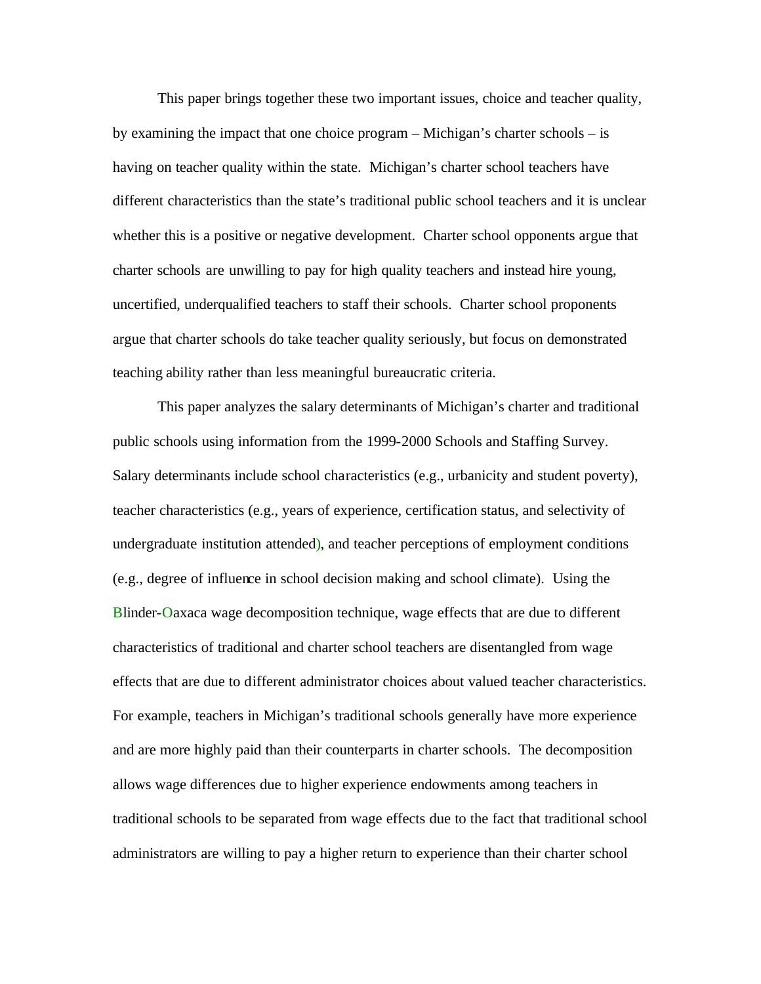This paper brings together these two important issues, choice and teacher quality, by examining the impact that one choice program – Michigan's charter schools – is having on teacher quality within the state. Michigan's charter school teachers have different characteristics than the state's traditional public school teachers and it is unclear whether this is a positive or negative development. Charter school opponents argue that charter schools are unwilling to pay for high quality teachers and instead hire young, uncertified, underqualified teachers to staff their schools. Charter school proponents argue that charter schools do take teacher quality seriously, but focus on demonstrated teaching ability rather than less meaningful bureaucratic criteria.

This paper analyzes the salary determinants of Michigan's charter and traditional public schools using information from the 1999-2000 Schools and Staffing Survey. Salary determinants include school characteristics (e.g., urbanicity and student poverty), teacher characteristics (e.g., years of experience, certification status, and selectivity of undergraduate institution attended), and teacher perceptions of employment conditions (e.g., degree of influence in school decision making and school climate). Using the Blinder-Oaxaca wage decomposition technique, wage effects that are due to different characteristics of traditional and charter school teachers are disentangled from wage effects that are due to different administrator choices about valued teacher characteristics. For example, teachers in Michigan's traditional schools generally have more experience and are more highly paid than their counterparts in charter schools. The decomposition allows wage differences due to higher experience endowments among teachers in traditional schools to be separated from wage effects due to the fact that traditional school administrators are willing to pay a higher return to experience than their charter school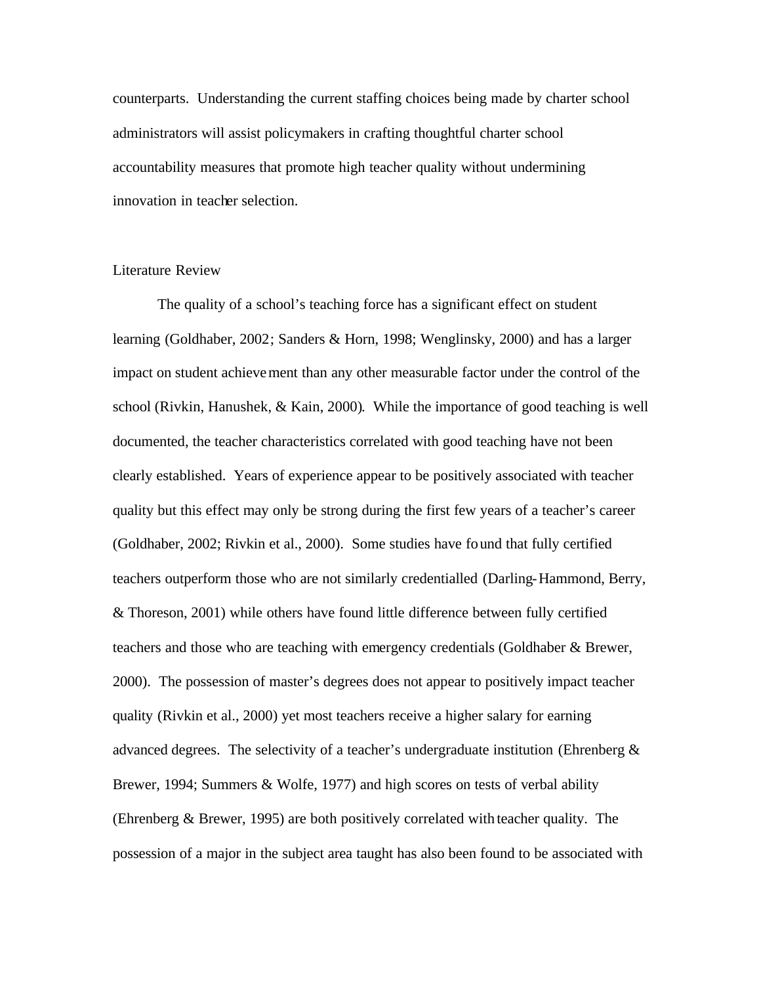counterparts. Understanding the current staffing choices being made by charter school administrators will assist policymakers in crafting thoughtful charter school accountability measures that promote high teacher quality without undermining innovation in teacher selection.

### Literature Review

The quality of a school's teaching force has a significant effect on student learning (Goldhaber, 2002; Sanders & Horn, 1998; Wenglinsky, 2000) and has a larger impact on student achievement than any other measurable factor under the control of the school (Rivkin, Hanushek, & Kain, 2000). While the importance of good teaching is well documented, the teacher characteristics correlated with good teaching have not been clearly established. Years of experience appear to be positively associated with teacher quality but this effect may only be strong during the first few years of a teacher's career (Goldhaber, 2002; Rivkin et al., 2000). Some studies have found that fully certified teachers outperform those who are not similarly credentialled (Darling-Hammond, Berry, & Thoreson, 2001) while others have found little difference between fully certified teachers and those who are teaching with emergency credentials (Goldhaber & Brewer, 2000). The possession of master's degrees does not appear to positively impact teacher quality (Rivkin et al., 2000) yet most teachers receive a higher salary for earning advanced degrees. The selectivity of a teacher's undergraduate institution (Ehrenberg & Brewer, 1994; Summers & Wolfe, 1977) and high scores on tests of verbal ability (Ehrenberg & Brewer, 1995) are both positively correlated with teacher quality. The possession of a major in the subject area taught has also been found to be associated with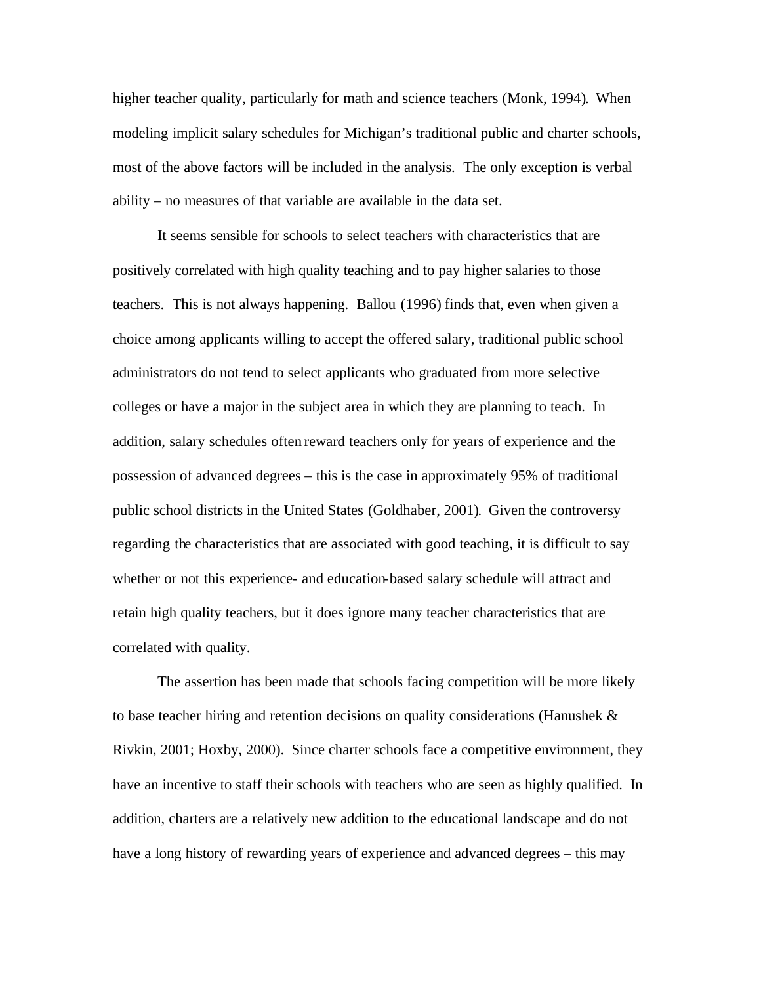higher teacher quality, particularly for math and science teachers (Monk, 1994). When modeling implicit salary schedules for Michigan's traditional public and charter schools, most of the above factors will be included in the analysis. The only exception is verbal ability – no measures of that variable are available in the data set.

It seems sensible for schools to select teachers with characteristics that are positively correlated with high quality teaching and to pay higher salaries to those teachers. This is not always happening. Ballou (1996) finds that, even when given a choice among applicants willing to accept the offered salary, traditional public school administrators do not tend to select applicants who graduated from more selective colleges or have a major in the subject area in which they are planning to teach. In addition, salary schedules often reward teachers only for years of experience and the possession of advanced degrees – this is the case in approximately 95% of traditional public school districts in the United States (Goldhaber, 2001). Given the controversy regarding the characteristics that are associated with good teaching, it is difficult to say whether or not this experience- and education-based salary schedule will attract and retain high quality teachers, but it does ignore many teacher characteristics that are correlated with quality.

The assertion has been made that schools facing competition will be more likely to base teacher hiring and retention decisions on quality considerations (Hanushek & Rivkin, 2001; Hoxby, 2000). Since charter schools face a competitive environment, they have an incentive to staff their schools with teachers who are seen as highly qualified. In addition, charters are a relatively new addition to the educational landscape and do not have a long history of rewarding years of experience and advanced degrees – this may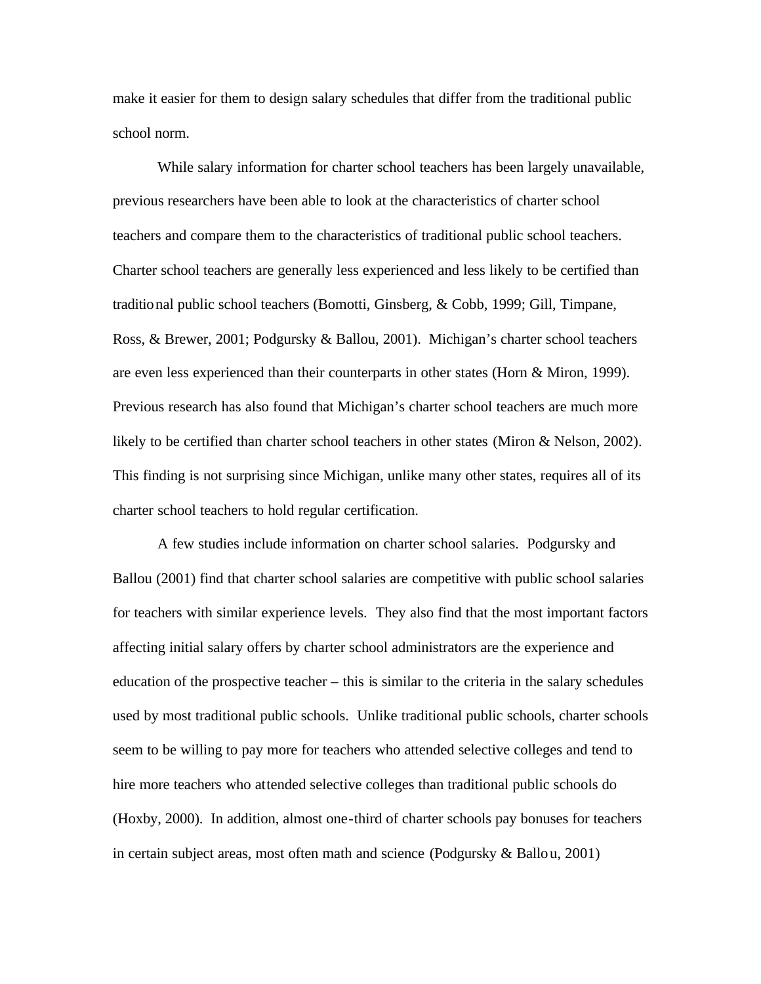make it easier for them to design salary schedules that differ from the traditional public school norm.

While salary information for charter school teachers has been largely unavailable, previous researchers have been able to look at the characteristics of charter school teachers and compare them to the characteristics of traditional public school teachers. Charter school teachers are generally less experienced and less likely to be certified than traditional public school teachers (Bomotti, Ginsberg, & Cobb, 1999; Gill, Timpane, Ross, & Brewer, 2001; Podgursky & Ballou, 2001). Michigan's charter school teachers are even less experienced than their counterparts in other states (Horn & Miron, 1999). Previous research has also found that Michigan's charter school teachers are much more likely to be certified than charter school teachers in other states (Miron & Nelson, 2002). This finding is not surprising since Michigan, unlike many other states, requires all of its charter school teachers to hold regular certification.

A few studies include information on charter school salaries. Podgursky and Ballou (2001) find that charter school salaries are competitive with public school salaries for teachers with similar experience levels. They also find that the most important factors affecting initial salary offers by charter school administrators are the experience and education of the prospective teacher – this is similar to the criteria in the salary schedules used by most traditional public schools. Unlike traditional public schools, charter schools seem to be willing to pay more for teachers who attended selective colleges and tend to hire more teachers who attended selective colleges than traditional public schools do (Hoxby, 2000). In addition, almost one-third of charter schools pay bonuses for teachers in certain subject areas, most often math and science (Podgursky & Ballou, 2001)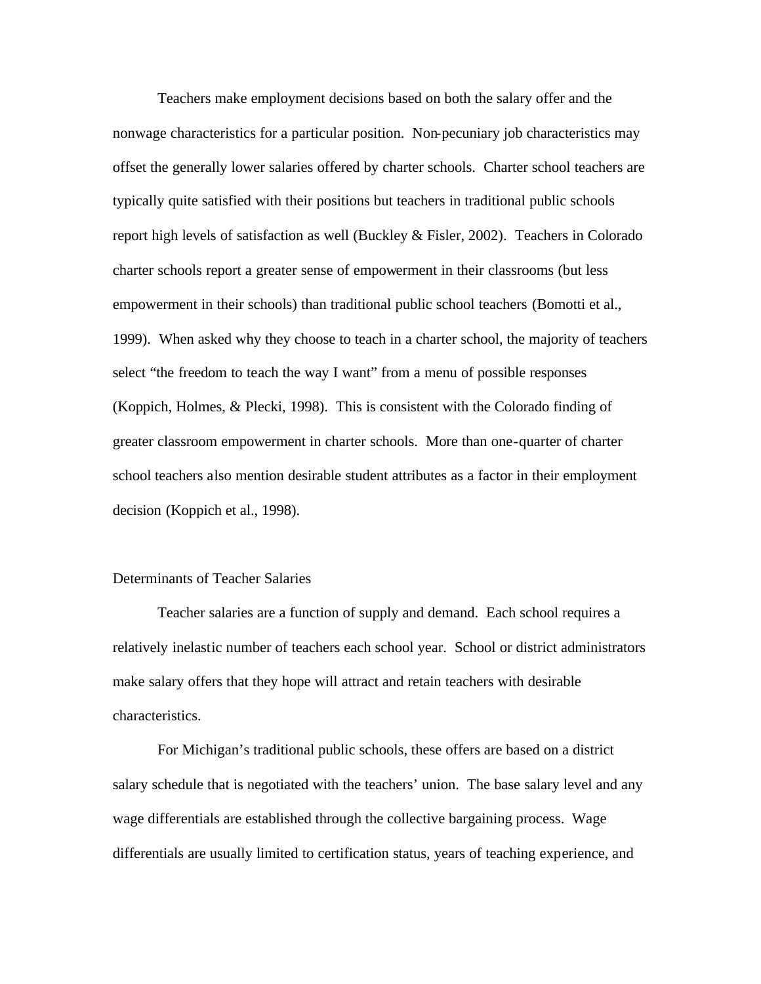Teachers make employment decisions based on both the salary offer and the nonwage characteristics for a particular position. Non-pecuniary job characteristics may offset the generally lower salaries offered by charter schools. Charter school teachers are typically quite satisfied with their positions but teachers in traditional public schools report high levels of satisfaction as well (Buckley & Fisler, 2002). Teachers in Colorado charter schools report a greater sense of empowerment in their classrooms (but less empowerment in their schools) than traditional public school teachers (Bomotti et al., 1999). When asked why they choose to teach in a charter school, the majority of teachers select "the freedom to teach the way I want" from a menu of possible responses (Koppich, Holmes, & Plecki, 1998). This is consistent with the Colorado finding of greater classroom empowerment in charter schools. More than one-quarter of charter school teachers also mention desirable student attributes as a factor in their employment decision (Koppich et al., 1998).

### Determinants of Teacher Salaries

Teacher salaries are a function of supply and demand. Each school requires a relatively inelastic number of teachers each school year. School or district administrators make salary offers that they hope will attract and retain teachers with desirable characteristics.

For Michigan's traditional public schools, these offers are based on a district salary schedule that is negotiated with the teachers' union. The base salary level and any wage differentials are established through the collective bargaining process. Wage differentials are usually limited to certification status, years of teaching experience, and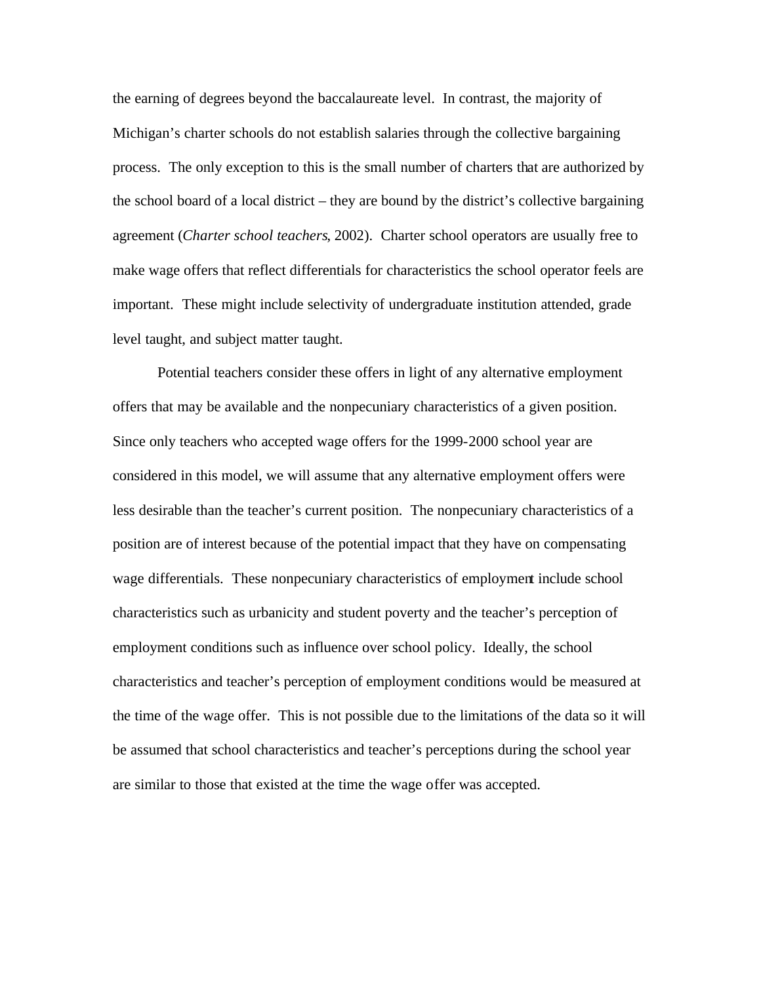the earning of degrees beyond the baccalaureate level. In contrast, the majority of Michigan's charter schools do not establish salaries through the collective bargaining process. The only exception to this is the small number of charters that are authorized by the school board of a local district – they are bound by the district's collective bargaining agreement (*Charter school teachers*, 2002). Charter school operators are usually free to make wage offers that reflect differentials for characteristics the school operator feels are important. These might include selectivity of undergraduate institution attended, grade level taught, and subject matter taught.

Potential teachers consider these offers in light of any alternative employment offers that may be available and the nonpecuniary characteristics of a given position. Since only teachers who accepted wage offers for the 1999-2000 school year are considered in this model, we will assume that any alternative employment offers were less desirable than the teacher's current position. The nonpecuniary characteristics of a position are of interest because of the potential impact that they have on compensating wage differentials. These nonpecuniary characteristics of employment include school characteristics such as urbanicity and student poverty and the teacher's perception of employment conditions such as influence over school policy. Ideally, the school characteristics and teacher's perception of employment conditions would be measured at the time of the wage offer. This is not possible due to the limitations of the data so it will be assumed that school characteristics and teacher's perceptions during the school year are similar to those that existed at the time the wage offer was accepted.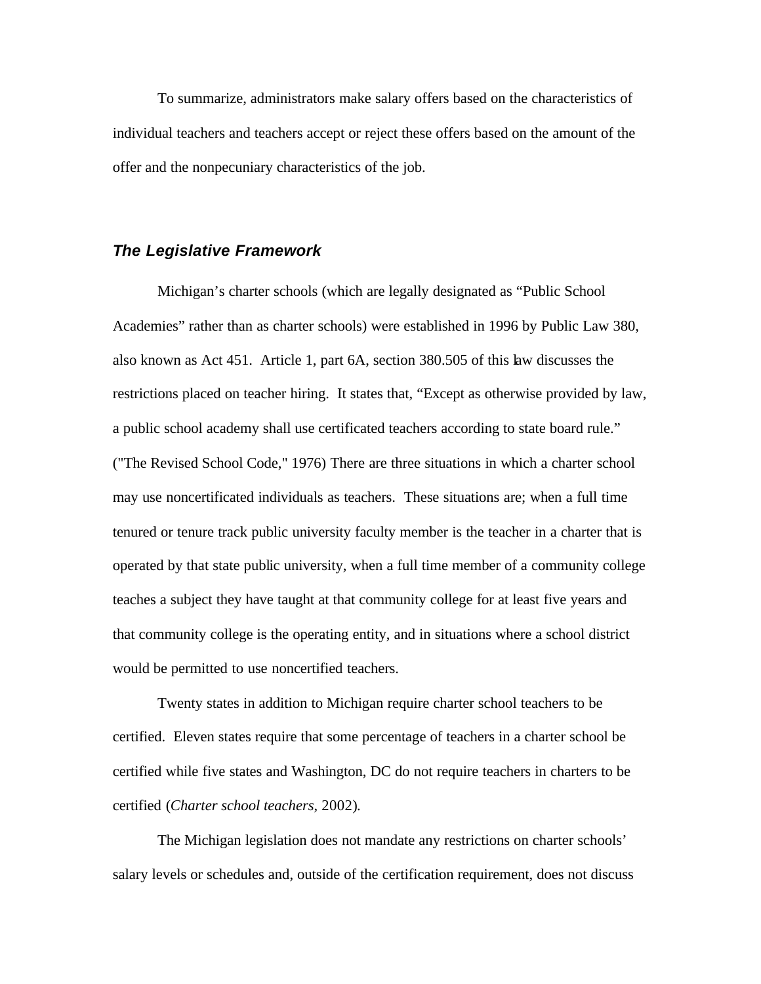To summarize, administrators make salary offers based on the characteristics of individual teachers and teachers accept or reject these offers based on the amount of the offer and the nonpecuniary characteristics of the job.

# *The Legislative Framework*

Michigan's charter schools (which are legally designated as "Public School Academies" rather than as charter schools) were established in 1996 by Public Law 380, also known as Act 451. Article 1, part 6A, section 380.505 of this law discusses the restrictions placed on teacher hiring. It states that, "Except as otherwise provided by law, a public school academy shall use certificated teachers according to state board rule." ("The Revised School Code," 1976) There are three situations in which a charter school may use noncertificated individuals as teachers. These situations are; when a full time tenured or tenure track public university faculty member is the teacher in a charter that is operated by that state public university, when a full time member of a community college teaches a subject they have taught at that community college for at least five years and that community college is the operating entity, and in situations where a school district would be permitted to use noncertified teachers.

Twenty states in addition to Michigan require charter school teachers to be certified. Eleven states require that some percentage of teachers in a charter school be certified while five states and Washington, DC do not require teachers in charters to be certified (*Charter school teachers*, 2002).

The Michigan legislation does not mandate any restrictions on charter schools' salary levels or schedules and, outside of the certification requirement, does not discuss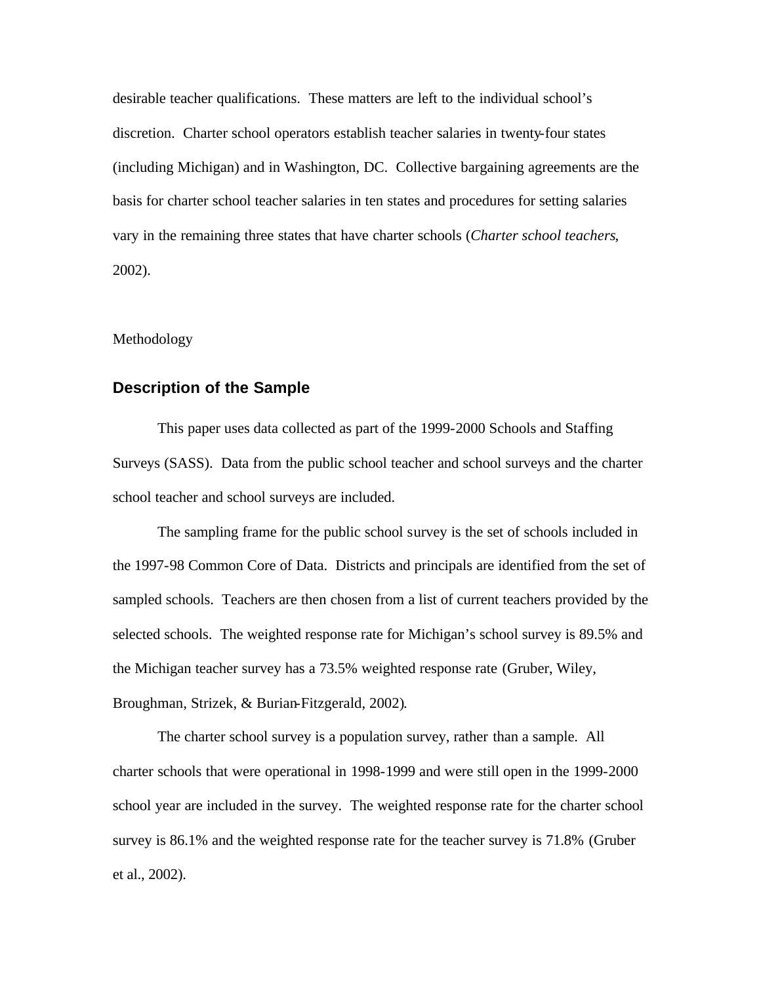desirable teacher qualifications. These matters are left to the individual school's discretion. Charter school operators establish teacher salaries in twenty-four states (including Michigan) and in Washington, DC. Collective bargaining agreements are the basis for charter school teacher salaries in ten states and procedures for setting salaries vary in the remaining three states that have charter schools (*Charter school teachers*, 2002).

#### Methodology

### **Description of the Sample**

This paper uses data collected as part of the 1999-2000 Schools and Staffing Surveys (SASS). Data from the public school teacher and school surveys and the charter school teacher and school surveys are included.

The sampling frame for the public school survey is the set of schools included in the 1997-98 Common Core of Data. Districts and principals are identified from the set of sampled schools. Teachers are then chosen from a list of current teachers provided by the selected schools. The weighted response rate for Michigan's school survey is 89.5% and the Michigan teacher survey has a 73.5% weighted response rate (Gruber, Wiley, Broughman, Strizek, & Burian-Fitzgerald, 2002).

The charter school survey is a population survey, rather than a sample. All charter schools that were operational in 1998-1999 and were still open in the 1999-2000 school year are included in the survey. The weighted response rate for the charter school survey is 86.1% and the weighted response rate for the teacher survey is 71.8% (Gruber et al., 2002).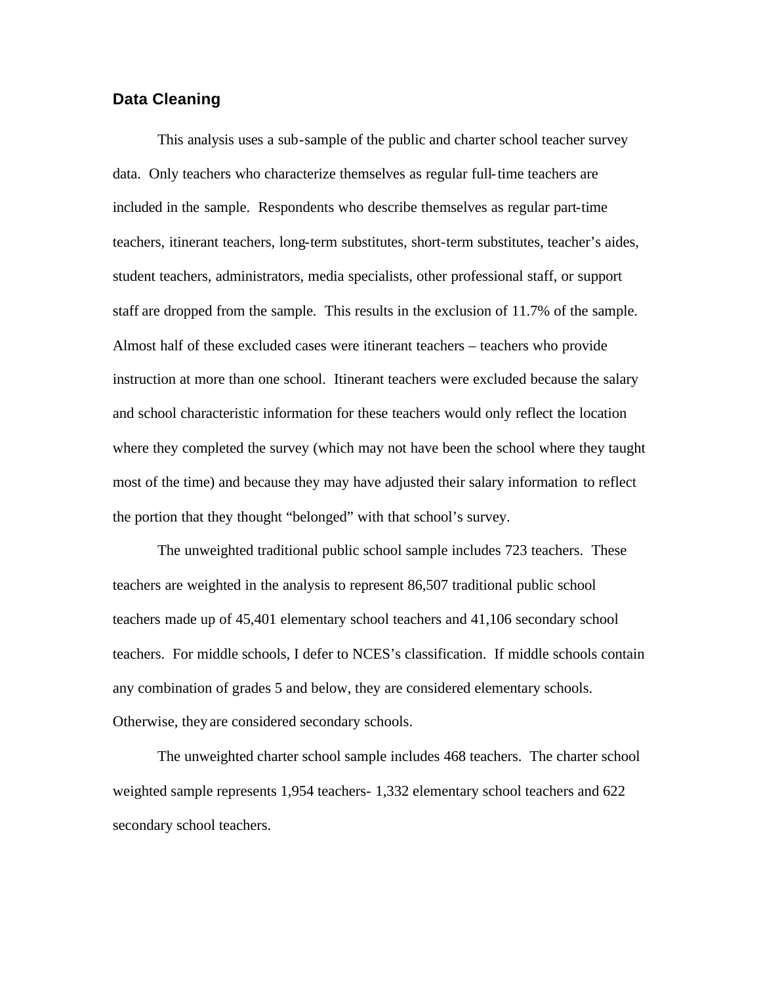# **Data Cleaning**

This analysis uses a sub-sample of the public and charter school teacher survey data. Only teachers who characterize themselves as regular full-time teachers are included in the sample. Respondents who describe themselves as regular part-time teachers, itinerant teachers, long-term substitutes, short-term substitutes, teacher's aides, student teachers, administrators, media specialists, other professional staff, or support staff are dropped from the sample. This results in the exclusion of 11.7% of the sample. Almost half of these excluded cases were itinerant teachers – teachers who provide instruction at more than one school. Itinerant teachers were excluded because the salary and school characteristic information for these teachers would only reflect the location where they completed the survey (which may not have been the school where they taught most of the time) and because they may have adjusted their salary information to reflect the portion that they thought "belonged" with that school's survey.

The unweighted traditional public school sample includes 723 teachers. These teachers are weighted in the analysis to represent 86,507 traditional public school teachers made up of 45,401 elementary school teachers and 41,106 secondary school teachers. For middle schools, I defer to NCES's classification. If middle schools contain any combination of grades 5 and below, they are considered elementary schools. Otherwise, they are considered secondary schools.

The unweighted charter school sample includes 468 teachers. The charter school weighted sample represents 1,954 teachers- 1,332 elementary school teachers and 622 secondary school teachers.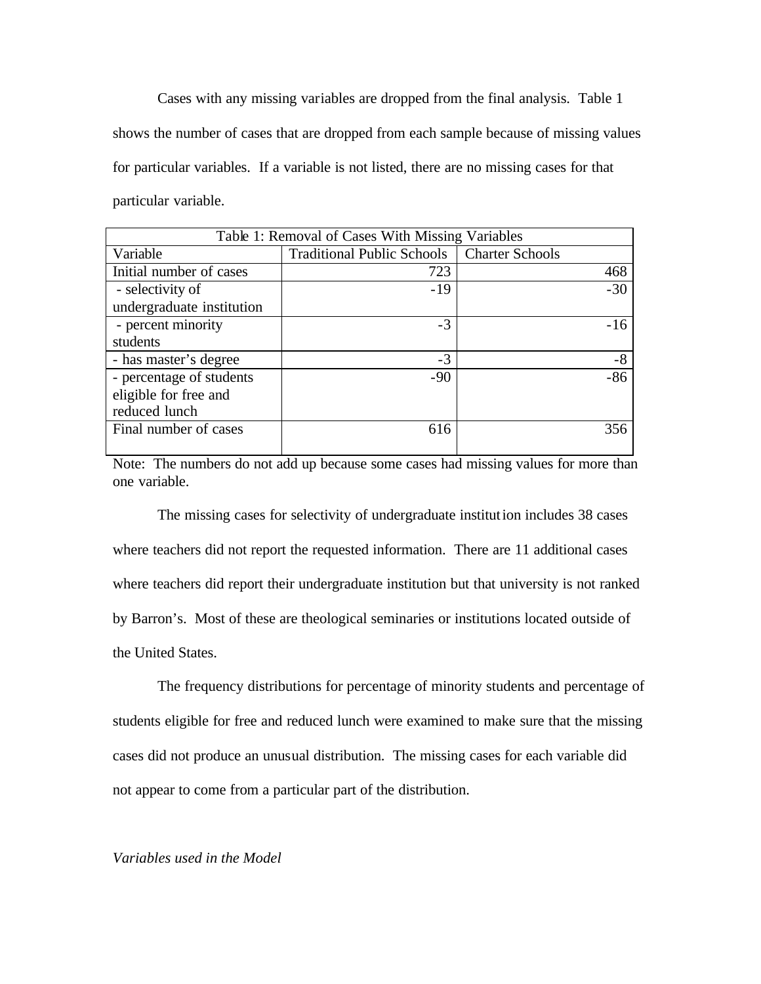Cases with any missing variables are dropped from the final analysis. Table 1 shows the number of cases that are dropped from each sample because of missing values for particular variables. If a variable is not listed, there are no missing cases for that particular variable.

| Table 1: Removal of Cases With Missing Variables |                                              |       |
|--------------------------------------------------|----------------------------------------------|-------|
| Variable                                         | Traditional Public Schools   Charter Schools |       |
| Initial number of cases                          | 723                                          | 468   |
| - selectivity of                                 | $-19$                                        | $-30$ |
| undergraduate institution                        |                                              |       |
| - percent minority                               | $-3$                                         | $-16$ |
| students                                         |                                              |       |
| - has master's degree                            | $-3$                                         | -8    |
| - percentage of students                         | $-90$                                        | $-86$ |
| eligible for free and                            |                                              |       |
| reduced lunch                                    |                                              |       |
| Final number of cases                            | 616                                          | 356   |
|                                                  |                                              |       |

Note: The numbers do not add up because some cases had missing values for more than one variable.

The missing cases for selectivity of undergraduate institution includes 38 cases where teachers did not report the requested information. There are 11 additional cases where teachers did report their undergraduate institution but that university is not ranked by Barron's. Most of these are theological seminaries or institutions located outside of the United States.

The frequency distributions for percentage of minority students and percentage of students eligible for free and reduced lunch were examined to make sure that the missing cases did not produce an unusual distribution. The missing cases for each variable did not appear to come from a particular part of the distribution.

### *Variables used in the Model*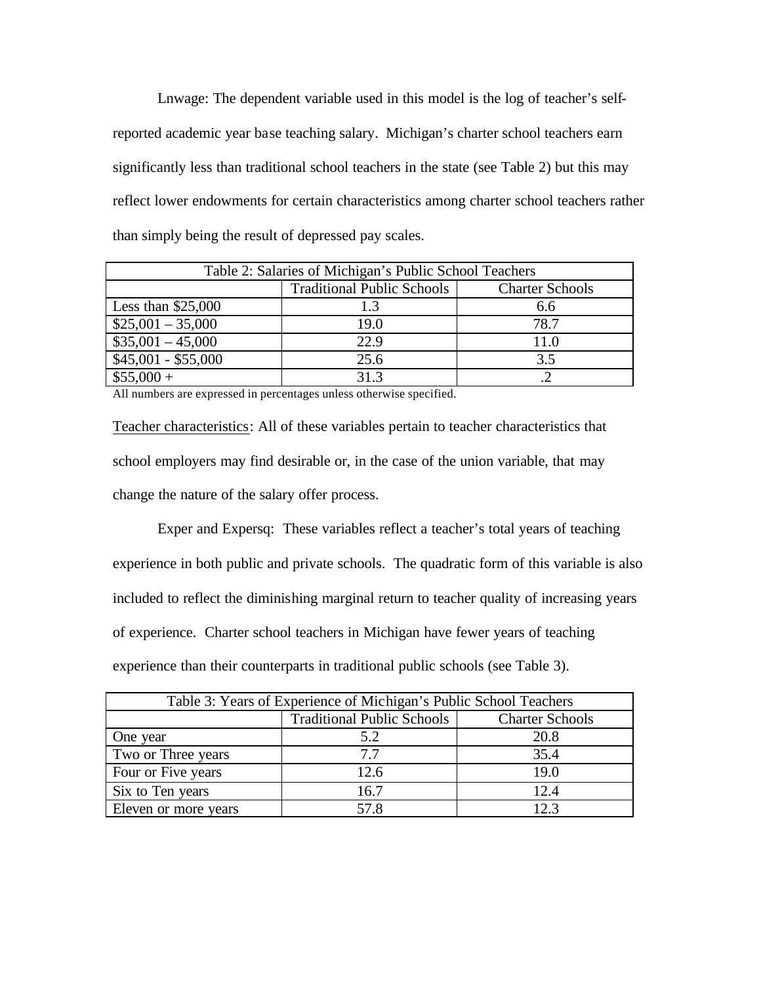Lnwage: The dependent variable used in this model is the log of teacher's selfreported academic year base teaching salary. Michigan's charter school teachers earn significantly less than traditional school teachers in the state (see Table 2) but this may reflect lower endowments for certain characteristics among charter school teachers rather than simply being the result of depressed pay scales.

| Table 2: Salaries of Michigan's Public School Teachers |                                                             |      |  |
|--------------------------------------------------------|-------------------------------------------------------------|------|--|
|                                                        | <b>Traditional Public Schools</b><br><b>Charter Schools</b> |      |  |
| Less than $$25,000$                                    |                                                             | 6.6  |  |
| $$25,001 - 35,000$                                     | 19.0                                                        | 78.7 |  |
| $$35,001 - 45,000$                                     | 22.9                                                        | 11.0 |  |
| $$45,001 - $55,000$                                    | 25.6                                                        | 3.5  |  |
| $$55,000 +$                                            | 31.3                                                        |      |  |

All numbers are expressed in percentages unless otherwise specified.

Teacher characteristics: All of these variables pertain to teacher characteristics that school employers may find desirable or, in the case of the union variable, that may change the nature of the salary offer process.

Exper and Expersq: These variables reflect a teacher's total years of teaching experience in both public and private schools. The quadratic form of this variable is also included to reflect the diminishing marginal return to teacher quality of increasing years of experience. Charter school teachers in Michigan have fewer years of teaching experience than their counterparts in traditional public schools (see Table 3).

| Table 3: Years of Experience of Michigan's Public School Teachers |                                   |                        |
|-------------------------------------------------------------------|-----------------------------------|------------------------|
|                                                                   | <b>Traditional Public Schools</b> | <b>Charter Schools</b> |
| One year                                                          | 5.2                               | 20.8                   |
| Two or Three years                                                | 77                                | 35.4                   |
| Four or Five years                                                | 12.6                              | 19.0                   |
| Six to Ten years                                                  | 16.7                              | 12.4                   |
| Eleven or more years                                              | 57.8                              | 12.3                   |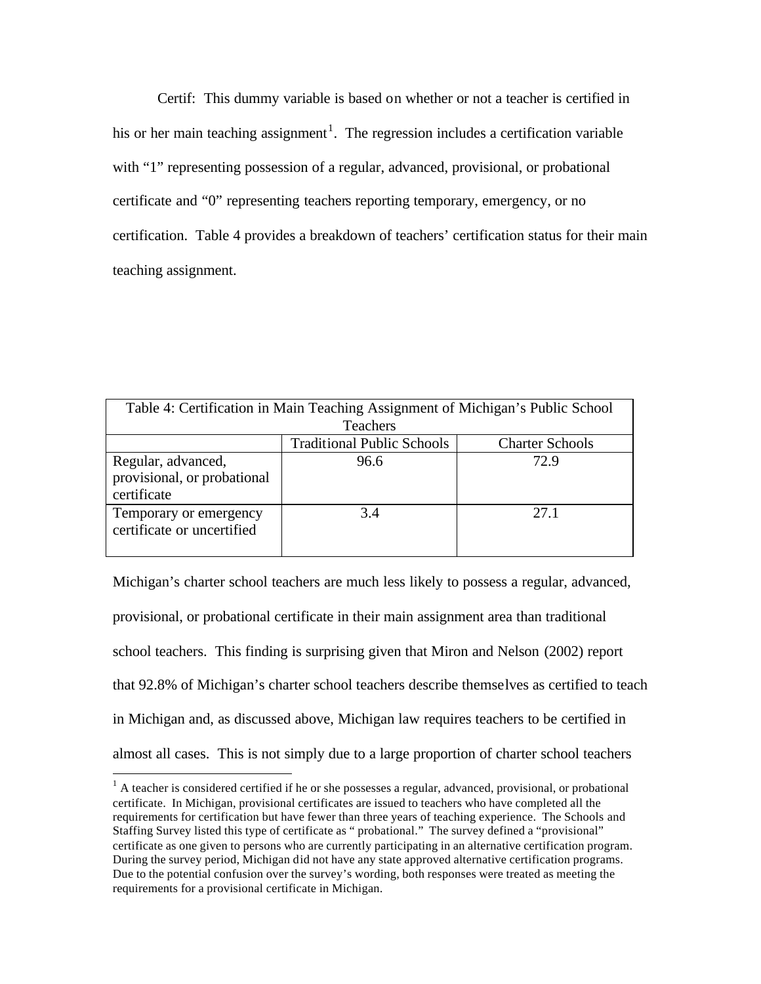Certif: This dummy variable is based on whether or not a teacher is certified in his or her main teaching assignment<sup>1</sup>. The regression includes a certification variable with "1" representing possession of a regular, advanced, provisional, or probational certificate and "0" representing teachers reporting temporary, emergency, or no certification. Table 4 provides a breakdown of teachers' certification status for their main teaching assignment.

| Table 4: Certification in Main Teaching Assignment of Michigan's Public School |                                   |                        |
|--------------------------------------------------------------------------------|-----------------------------------|------------------------|
| <b>Teachers</b>                                                                |                                   |                        |
|                                                                                | <b>Traditional Public Schools</b> | <b>Charter Schools</b> |
| Regular, advanced,<br>provisional, or probational<br>certificate               | 96.6                              | 72.9                   |
| Temporary or emergency<br>certificate or uncertified                           | 3.4                               | 2.7.1                  |

Michigan's charter school teachers are much less likely to possess a regular, advanced, provisional, or probational certificate in their main assignment area than traditional school teachers. This finding is surprising given that Miron and Nelson (2002) report that 92.8% of Michigan's charter school teachers describe themselves as certified to teach in Michigan and, as discussed above, Michigan law requires teachers to be certified in almost all cases. This is not simply due to a large proportion of charter school teachers

 $\overline{a}$ 

 $<sup>1</sup>$  A teacher is considered certified if he or she possesses a regular, advanced, provisional, or probational</sup> certificate. In Michigan, provisional certificates are issued to teachers who have completed all the requirements for certification but have fewer than three years of teaching experience. The Schools and Staffing Survey listed this type of certificate as " probational." The survey defined a "provisional" certificate as one given to persons who are currently participating in an alternative certification program. During the survey period, Michigan did not have any state approved alternative certification programs. Due to the potential confusion over the survey's wording, both responses were treated as meeting the requirements for a provisional certificate in Michigan.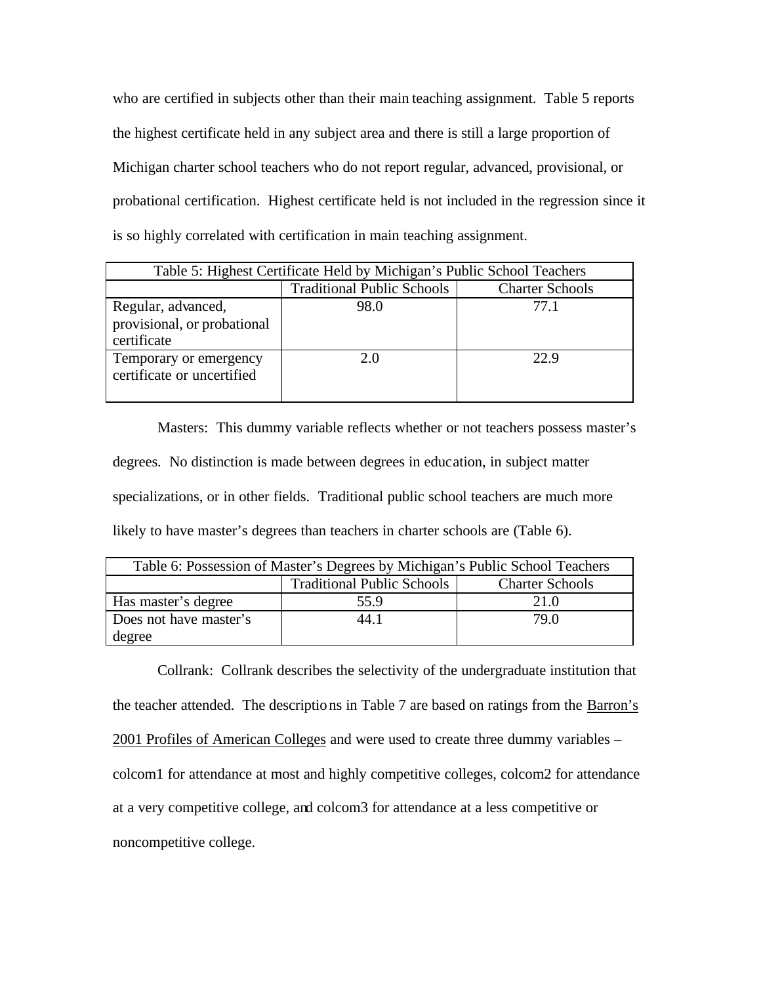who are certified in subjects other than their main teaching assignment. Table 5 reports the highest certificate held in any subject area and there is still a large proportion of Michigan charter school teachers who do not report regular, advanced, provisional, or probational certification. Highest certificate held is not included in the regression since it is so highly correlated with certification in main teaching assignment.

| Table 5: Highest Certificate Held by Michigan's Public School Teachers |                                   |                        |
|------------------------------------------------------------------------|-----------------------------------|------------------------|
|                                                                        | <b>Traditional Public Schools</b> | <b>Charter Schools</b> |
| Regular, advanced,<br>provisional, or probational<br>certificate       | 98.0                              | 77.1                   |
| Temporary or emergency<br>certificate or uncertified                   | 2.0                               | 22.9                   |

Masters: This dummy variable reflects whether or not teachers possess master's degrees. No distinction is made between degrees in education, in subject matter specializations, or in other fields. Traditional public school teachers are much more likely to have master's degrees than teachers in charter schools are (Table 6).

| Table 6: Possession of Master's Degrees by Michigan's Public School Teachers |      |      |  |
|------------------------------------------------------------------------------|------|------|--|
| <b>Traditional Public Schools</b><br><b>Charter Schools</b>                  |      |      |  |
| Has master's degree                                                          | 55.9 | 21.0 |  |
| Does not have master's                                                       | 44.1 | 79 O |  |
| degree                                                                       |      |      |  |

Collrank: Collrank describes the selectivity of the undergraduate institution that the teacher attended. The descriptions in Table 7 are based on ratings from the Barron's 2001 Profiles of American Colleges and were used to create three dummy variables – colcom1 for attendance at most and highly competitive colleges, colcom2 for attendance at a very competitive college, and colcom3 for attendance at a less competitive or noncompetitive college.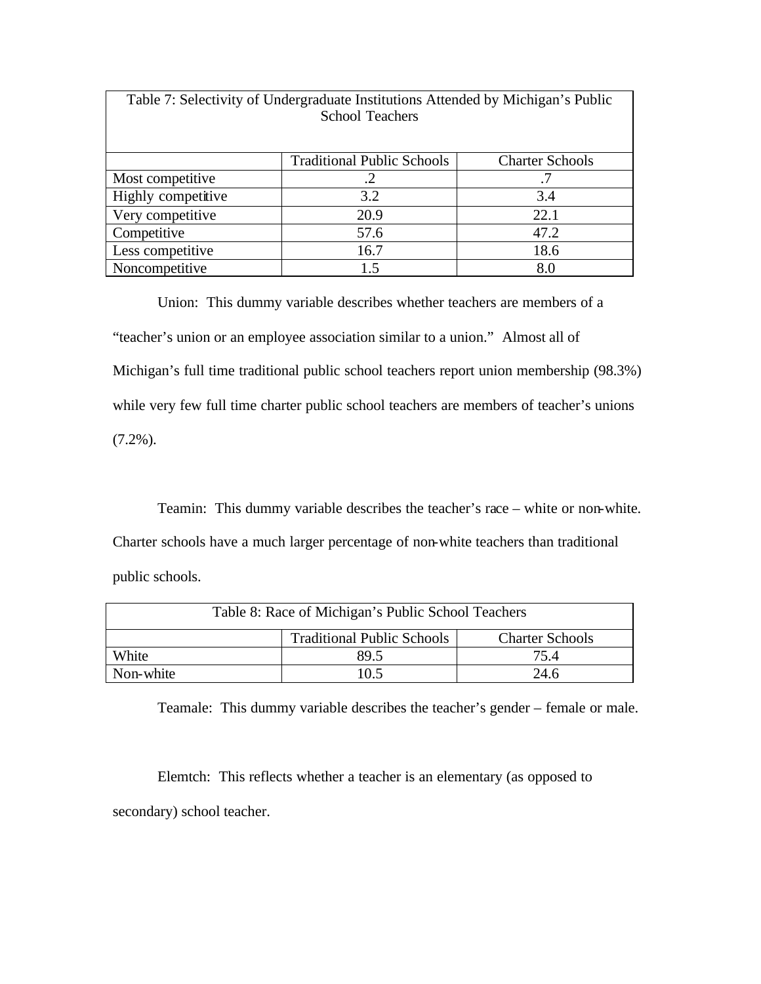| Table 7: Selectivity of Undergraduate Institutions Attended by Michigan's Public<br><b>School Teachers</b> |                                   |                        |
|------------------------------------------------------------------------------------------------------------|-----------------------------------|------------------------|
|                                                                                                            | <b>Traditional Public Schools</b> | <b>Charter Schools</b> |
| Most competitive                                                                                           | .2                                | .7                     |
| Highly competitive                                                                                         | 3.2                               | 3.4                    |
| Very competitive                                                                                           | 20.9                              | 22.1                   |
| Competitive                                                                                                | 57.6                              | 47.2                   |
| Less competitive                                                                                           | 16.7                              | 18.6                   |
| Noncompetitive                                                                                             | 15                                | 8.0                    |

Union: This dummy variable describes whether teachers are members of a "teacher's union or an employee association similar to a union." Almost all of Michigan's full time traditional public school teachers report union membership (98.3%) while very few full time charter public school teachers are members of teacher's unions  $(7.2\%)$ .

Teamin: This dummy variable describes the teacher's race – white or non-white. Charter schools have a much larger percentage of non-white teachers than traditional

public schools.

| Table 8: Race of Michigan's Public School Teachers          |  |  |  |
|-------------------------------------------------------------|--|--|--|
| <b>Traditional Public Schools</b><br><b>Charter Schools</b> |  |  |  |
| White<br>89.5<br>75.4                                       |  |  |  |
| Non-white<br>10.5<br>24.6                                   |  |  |  |

Teamale: This dummy variable describes the teacher's gender – female or male.

Elemtch: This reflects whether a teacher is an elementary (as opposed to secondary) school teacher.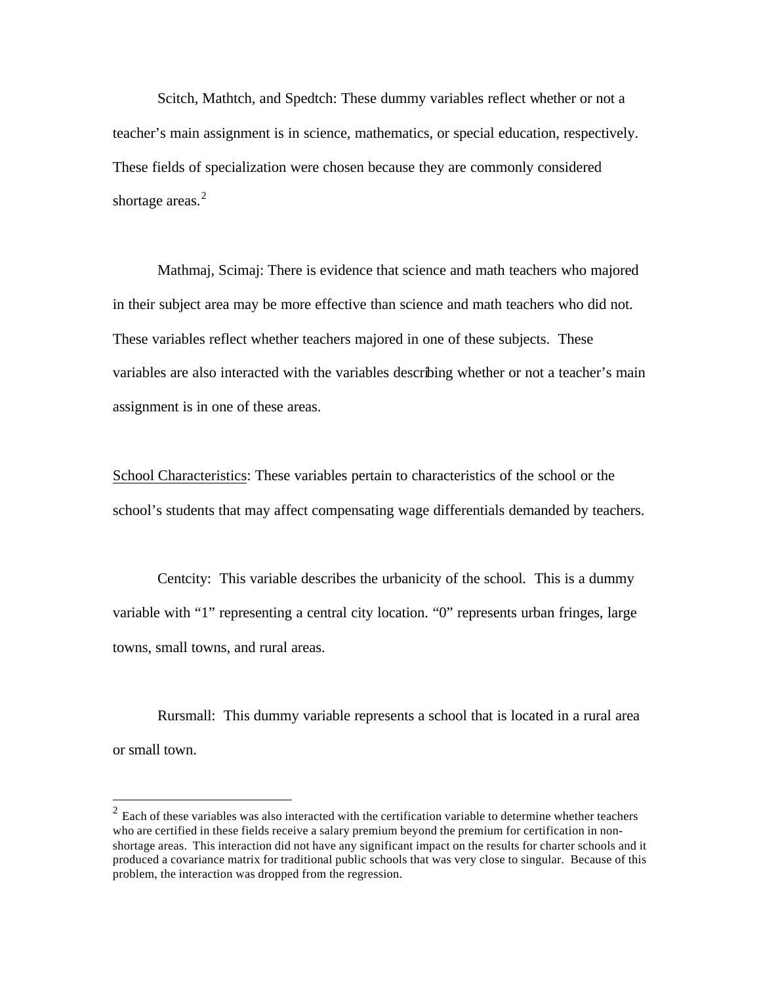Scitch, Mathtch, and Spedtch: These dummy variables reflect whether or not a teacher's main assignment is in science, mathematics, or special education, respectively. These fields of specialization were chosen because they are commonly considered shortage areas. $2$ 

Mathmaj, Scimaj: There is evidence that science and math teachers who majored in their subject area may be more effective than science and math teachers who did not. These variables reflect whether teachers majored in one of these subjects. These variables are also interacted with the variables describing whether or not a teacher's main assignment is in one of these areas.

School Characteristics: These variables pertain to characteristics of the school or the school's students that may affect compensating wage differentials demanded by teachers.

Centcity: This variable describes the urbanicity of the school. This is a dummy variable with "1" representing a central city location. "0" represents urban fringes, large towns, small towns, and rural areas.

Rursmall: This dummy variable represents a school that is located in a rural area or small town.

 $\overline{a}$ 

 $2 \text{ Each of these variables was also interacted with the certification variable to determine whether teachers.}$ who are certified in these fields receive a salary premium beyond the premium for certification in nonshortage areas. This interaction did not have any significant impact on the results for charter schools and it produced a covariance matrix for traditional public schools that was very close to singular. Because of this problem, the interaction was dropped from the regression.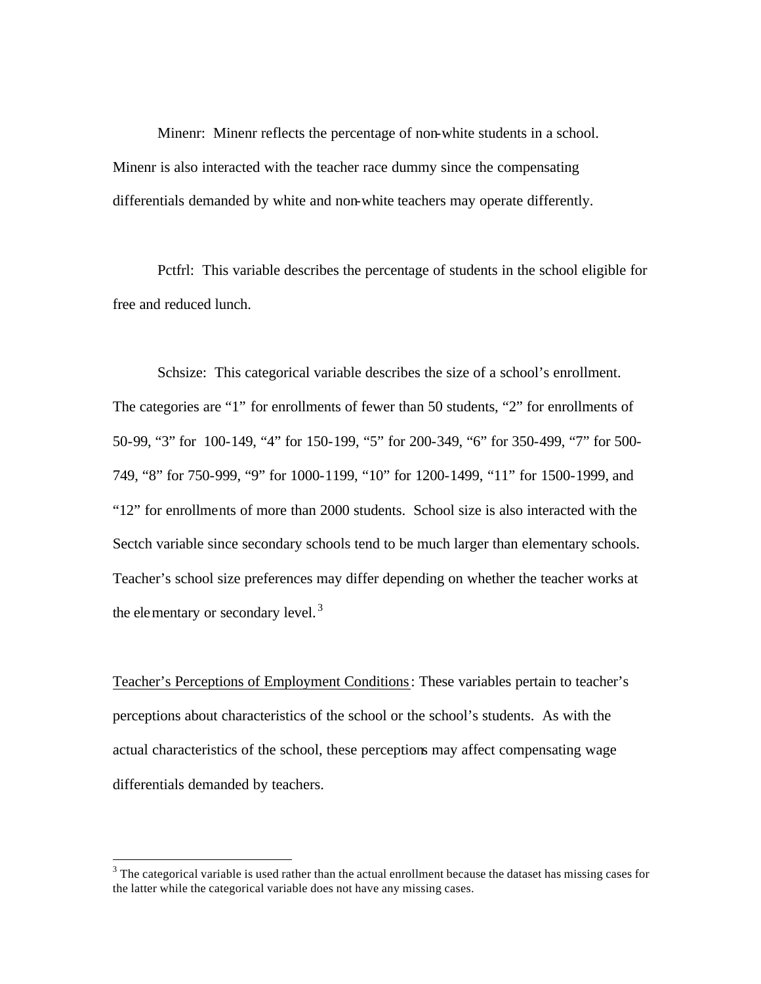Minenr: Minenr reflects the percentage of non-white students in a school. Minenr is also interacted with the teacher race dummy since the compensating differentials demanded by white and non-white teachers may operate differently.

Pctfrl: This variable describes the percentage of students in the school eligible for free and reduced lunch.

Schsize: This categorical variable describes the size of a school's enrollment. The categories are "1" for enrollments of fewer than 50 students, "2" for enrollments of 50-99, "3" for 100-149, "4" for 150-199, "5" for 200-349, "6" for 350-499, "7" for 500- 749, "8" for 750-999, "9" for 1000-1199, "10" for 1200-1499, "11" for 1500-1999, and "12" for enrollments of more than 2000 students. School size is also interacted with the Sectch variable since secondary schools tend to be much larger than elementary schools. Teacher's school size preferences may differ depending on whether the teacher works at the elementary or secondary level.<sup>3</sup>

Teacher's Perceptions of Employment Conditions: These variables pertain to teacher's perceptions about characteristics of the school or the school's students. As with the actual characteristics of the school, these perceptions may affect compensating wage differentials demanded by teachers.

<sup>&</sup>lt;sup>3</sup> The categorical variable is used rather than the actual enrollment because the dataset has missing cases for the latter while the categorical variable does not have any missing cases.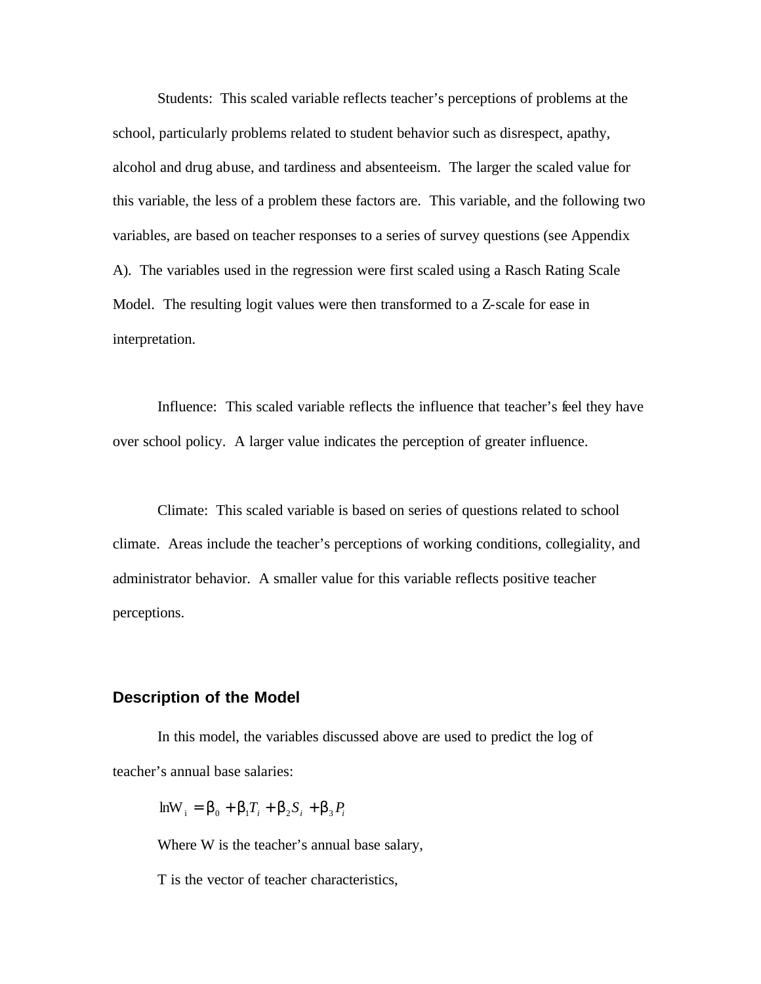Students: This scaled variable reflects teacher's perceptions of problems at the school, particularly problems related to student behavior such as disrespect, apathy, alcohol and drug abuse, and tardiness and absenteeism. The larger the scaled value for this variable, the less of a problem these factors are. This variable, and the following two variables, are based on teacher responses to a series of survey questions (see Appendix A). The variables used in the regression were first scaled using a Rasch Rating Scale Model. The resulting logit values were then transformed to a Z-scale for ease in interpretation.

Influence: This scaled variable reflects the influence that teacher's feel they have over school policy. A larger value indicates the perception of greater influence.

Climate: This scaled variable is based on series of questions related to school climate. Areas include the teacher's perceptions of working conditions, collegiality, and administrator behavior. A smaller value for this variable reflects positive teacher perceptions.

### **Description of the Model**

In this model, the variables discussed above are used to predict the log of teacher's annual base salaries:

$$
\mathrm{lnW}_{i} = \boldsymbol{b}_{0} + \boldsymbol{b}_{1}T_{i} + \boldsymbol{b}_{2}S_{i} + \boldsymbol{b}_{3}P_{i}
$$

Where W is the teacher's annual base salary,

T is the vector of teacher characteristics,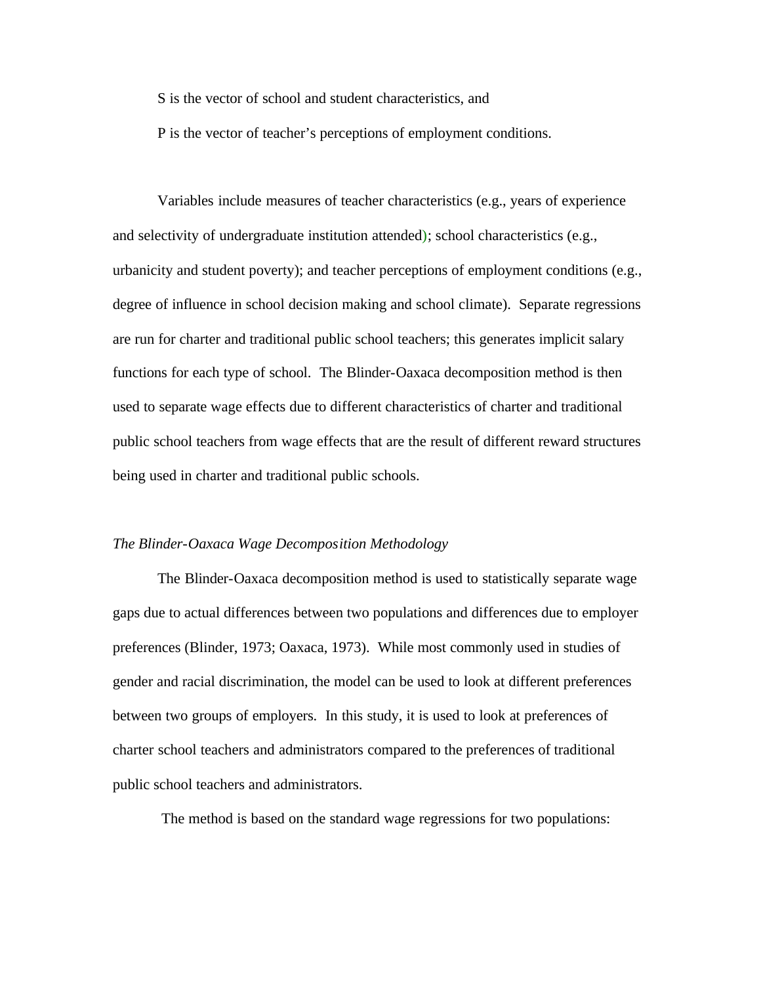S is the vector of school and student characteristics, and

P is the vector of teacher's perceptions of employment conditions.

Variables include measures of teacher characteristics (e.g., years of experience and selectivity of undergraduate institution attended); school characteristics (e.g., urbanicity and student poverty); and teacher perceptions of employment conditions (e.g., degree of influence in school decision making and school climate). Separate regressions are run for charter and traditional public school teachers; this generates implicit salary functions for each type of school. The Blinder-Oaxaca decomposition method is then used to separate wage effects due to different characteristics of charter and traditional public school teachers from wage effects that are the result of different reward structures being used in charter and traditional public schools.

#### *The Blinder-Oaxaca Wage Decomposition Methodology*

The Blinder-Oaxaca decomposition method is used to statistically separate wage gaps due to actual differences between two populations and differences due to employer preferences (Blinder, 1973; Oaxaca, 1973). While most commonly used in studies of gender and racial discrimination, the model can be used to look at different preferences between two groups of employers. In this study, it is used to look at preferences of charter school teachers and administrators compared to the preferences of traditional public school teachers and administrators.

The method is based on the standard wage regressions for two populations: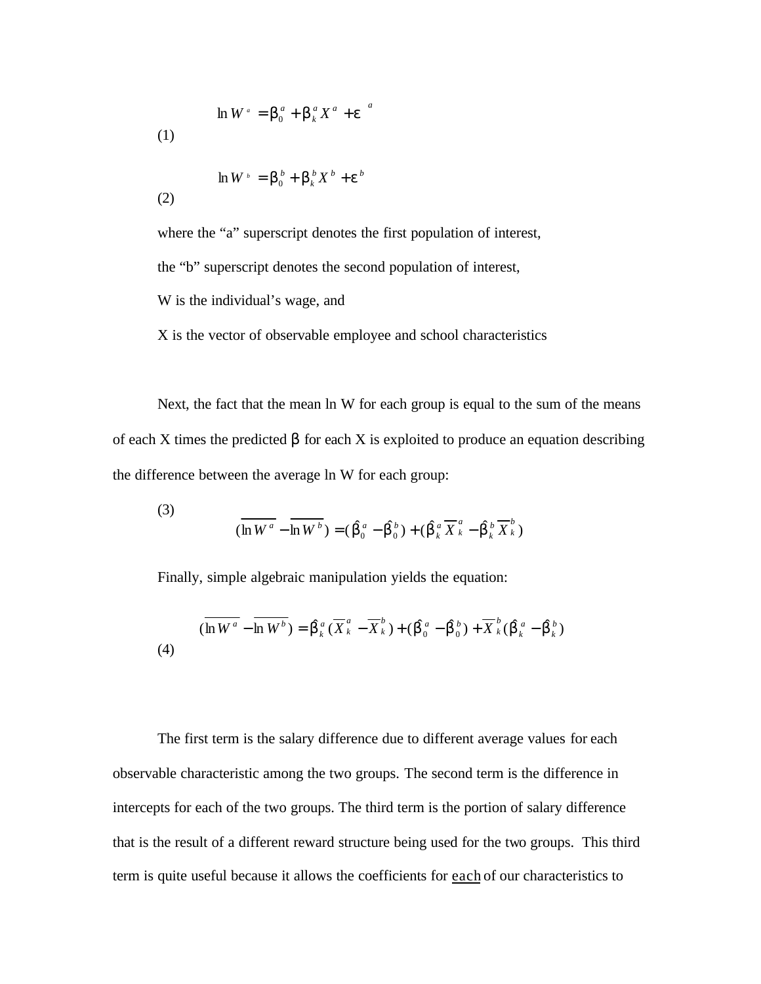$$
\ln W^a = \boldsymbol{b}_0^a + \boldsymbol{b}_k^a X^a + \boldsymbol{e}^{a}
$$
\n(1)

$$
\ln W^{\scriptscriptstyle b} = \boldsymbol{b}_0^{\scriptscriptstyle b} + \boldsymbol{b}_k^{\scriptscriptstyle b} X^{\scriptscriptstyle b} + \boldsymbol{e}^{\scriptscriptstyle b}
$$

(2)

where the "a" superscript denotes the first population of interest, the "b" superscript denotes the second population of interest, W is the individual's wage, and

X is the vector of observable employee and school characteristics

Next, the fact that the mean ln W for each group is equal to the sum of the means of each X times the predicted β for each X is exploited to produce an equation describing the difference between the average ln W for each group:

(3) 
$$
\overline{(\ln W^a - \ln W^b)} = (\hat{\boldsymbol{b}}_0^a - \hat{\boldsymbol{b}}_0^b) + (\hat{\boldsymbol{b}}_k^a \overline{X}_k^a - \hat{\boldsymbol{b}}_k^b \overline{X}_k^b)
$$

Finally, simple algebraic manipulation yields the equation:

$$
(\overline{\ln W^a} - \overline{\ln W^b}) = \hat{\bm{b}}_k^a (\overline{X}_k^a - \overline{X}_k^b) + (\hat{\bm{b}}_0^a - \hat{\bm{b}}_0^b) + \overline{X}_k^b (\hat{\bm{b}}_k^a - \hat{\bm{b}}_k^b)
$$
\n(4)

The first term is the salary difference due to different average values for each observable characteristic among the two groups. The second term is the difference in intercepts for each of the two groups. The third term is the portion of salary difference that is the result of a different reward structure being used for the two groups. This third term is quite useful because it allows the coefficients for each of our characteristics to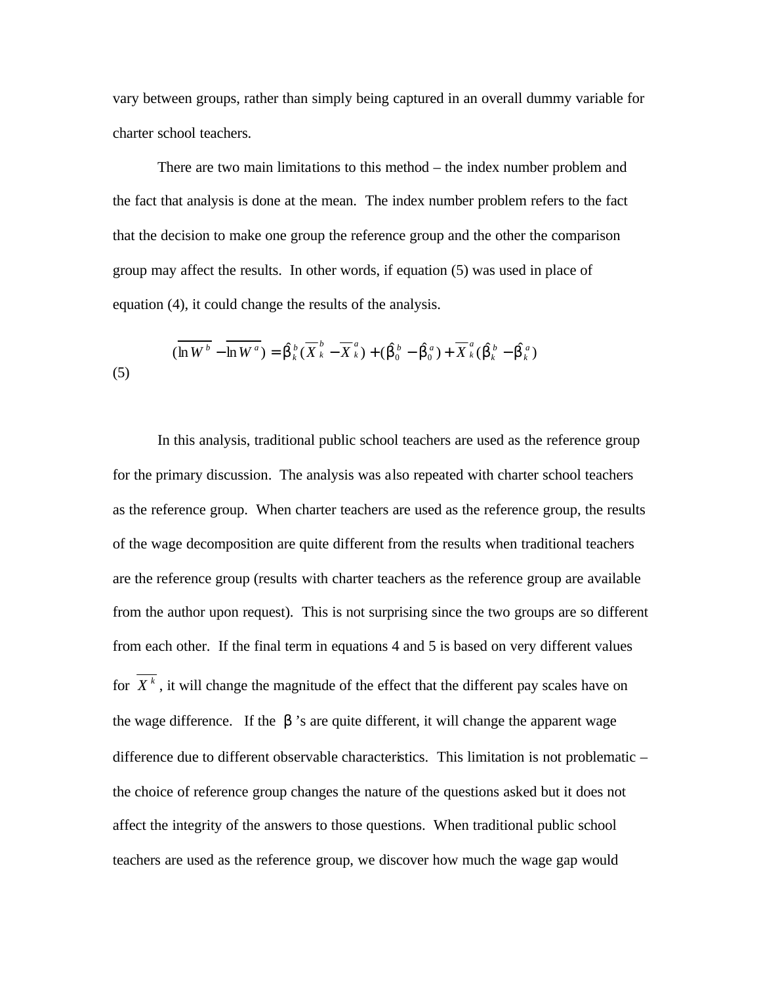vary between groups, rather than simply being captured in an overall dummy variable for charter school teachers.

There are two main limitations to this method – the index number problem and the fact that analysis is done at the mean. The index number problem refers to the fact that the decision to make one group the reference group and the other the comparison group may affect the results. In other words, if equation (5) was used in place of equation (4), it could change the results of the analysis.

(5) 
$$
(\overline{\ln W^b} - \overline{\ln W^a}) = \hat{\bm{b}}_k^b (\overline{X}_k^b - \overline{X}_k^a) + (\hat{\bm{b}}_0^b - \hat{\bm{b}}_0^a) + \overline{X}_k^a (\hat{\bm{b}}_k^b - \hat{\bm{b}}_k^a)
$$

In this analysis, traditional public school teachers are used as the reference group for the primary discussion. The analysis was also repeated with charter school teachers as the reference group. When charter teachers are used as the reference group, the results of the wage decomposition are quite different from the results when traditional teachers are the reference group (results with charter teachers as the reference group are available from the author upon request). This is not surprising since the two groups are so different from each other. If the final term in equations 4 and 5 is based on very different values for  $\overline{X^k}$ , it will change the magnitude of the effect that the different pay scales have on the wage difference. If the *b* 's are quite different, it will change the apparent wage difference due to different observable characteristics. This limitation is not problematic – the choice of reference group changes the nature of the questions asked but it does not affect the integrity of the answers to those questions. When traditional public school teachers are used as the reference group, we discover how much the wage gap would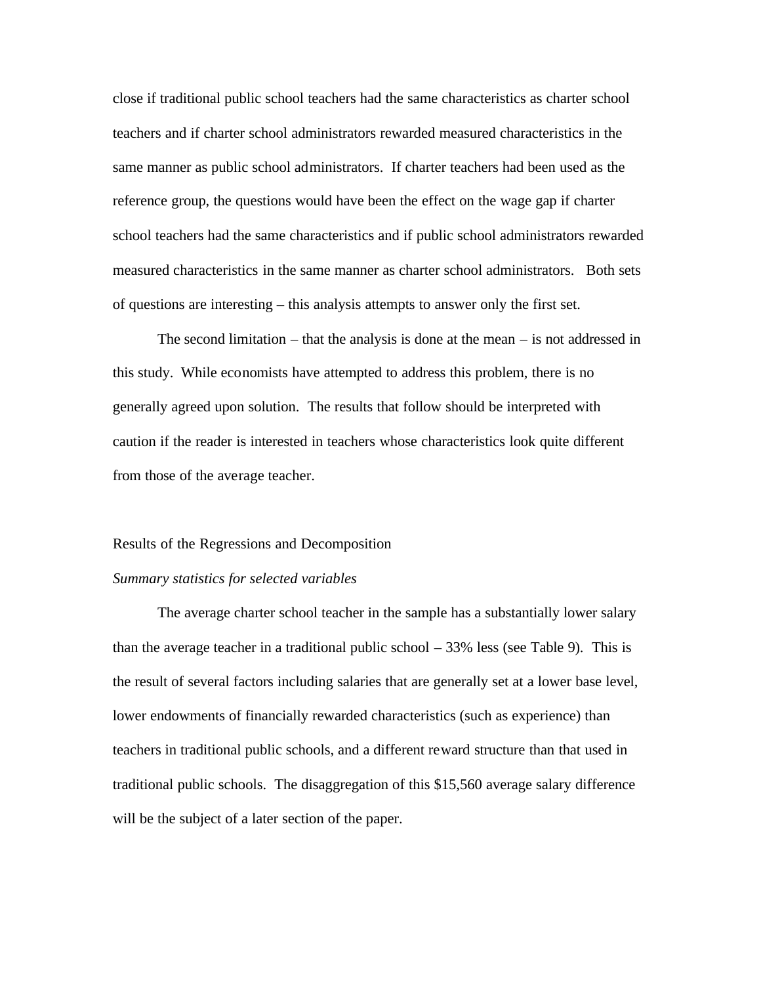close if traditional public school teachers had the same characteristics as charter school teachers and if charter school administrators rewarded measured characteristics in the same manner as public school administrators. If charter teachers had been used as the reference group, the questions would have been the effect on the wage gap if charter school teachers had the same characteristics and if public school administrators rewarded measured characteristics in the same manner as charter school administrators. Both sets of questions are interesting – this analysis attempts to answer only the first set.

The second limitation – that the analysis is done at the mean – is not addressed in this study. While economists have attempted to address this problem, there is no generally agreed upon solution. The results that follow should be interpreted with caution if the reader is interested in teachers whose characteristics look quite different from those of the average teacher.

#### Results of the Regressions and Decomposition

#### *Summary statistics for selected variables*

The average charter school teacher in the sample has a substantially lower salary than the average teacher in a traditional public school – 33% less (see Table 9). This is the result of several factors including salaries that are generally set at a lower base level, lower endowments of financially rewarded characteristics (such as experience) than teachers in traditional public schools, and a different reward structure than that used in traditional public schools. The disaggregation of this \$15,560 average salary difference will be the subject of a later section of the paper.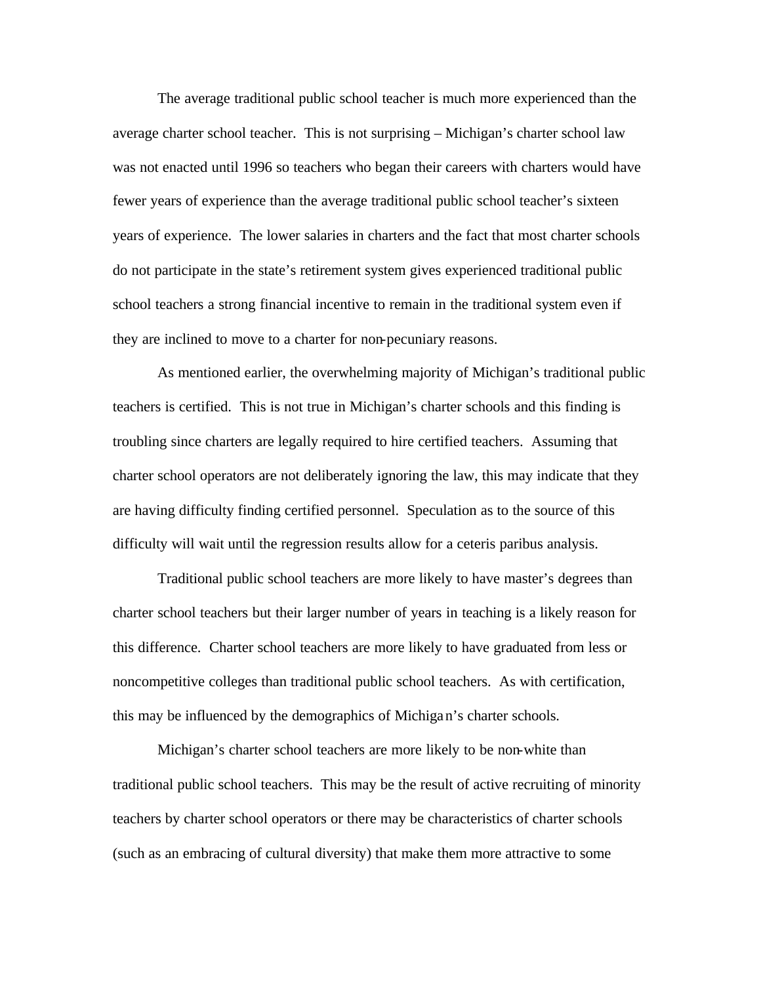The average traditional public school teacher is much more experienced than the average charter school teacher. This is not surprising – Michigan's charter school law was not enacted until 1996 so teachers who began their careers with charters would have fewer years of experience than the average traditional public school teacher's sixteen years of experience. The lower salaries in charters and the fact that most charter schools do not participate in the state's retirement system gives experienced traditional public school teachers a strong financial incentive to remain in the traditional system even if they are inclined to move to a charter for non-pecuniary reasons.

As mentioned earlier, the overwhelming majority of Michigan's traditional public teachers is certified. This is not true in Michigan's charter schools and this finding is troubling since charters are legally required to hire certified teachers. Assuming that charter school operators are not deliberately ignoring the law, this may indicate that they are having difficulty finding certified personnel. Speculation as to the source of this difficulty will wait until the regression results allow for a ceteris paribus analysis.

Traditional public school teachers are more likely to have master's degrees than charter school teachers but their larger number of years in teaching is a likely reason for this difference. Charter school teachers are more likely to have graduated from less or noncompetitive colleges than traditional public school teachers. As with certification, this may be influenced by the demographics of Michigan's charter schools.

Michigan's charter school teachers are more likely to be non-white than traditional public school teachers. This may be the result of active recruiting of minority teachers by charter school operators or there may be characteristics of charter schools (such as an embracing of cultural diversity) that make them more attractive to some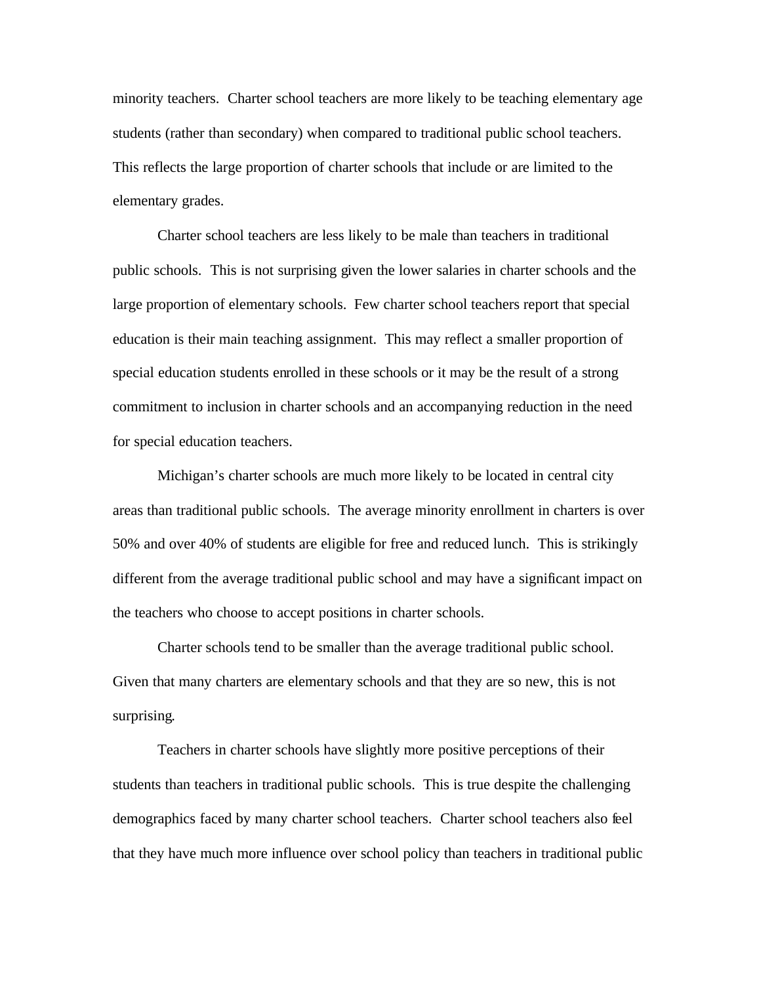minority teachers. Charter school teachers are more likely to be teaching elementary age students (rather than secondary) when compared to traditional public school teachers. This reflects the large proportion of charter schools that include or are limited to the elementary grades.

Charter school teachers are less likely to be male than teachers in traditional public schools. This is not surprising given the lower salaries in charter schools and the large proportion of elementary schools. Few charter school teachers report that special education is their main teaching assignment. This may reflect a smaller proportion of special education students enrolled in these schools or it may be the result of a strong commitment to inclusion in charter schools and an accompanying reduction in the need for special education teachers.

Michigan's charter schools are much more likely to be located in central city areas than traditional public schools. The average minority enrollment in charters is over 50% and over 40% of students are eligible for free and reduced lunch. This is strikingly different from the average traditional public school and may have a significant impact on the teachers who choose to accept positions in charter schools.

Charter schools tend to be smaller than the average traditional public school. Given that many charters are elementary schools and that they are so new, this is not surprising.

Teachers in charter schools have slightly more positive perceptions of their students than teachers in traditional public schools. This is true despite the challenging demographics faced by many charter school teachers. Charter school teachers also feel that they have much more influence over school policy than teachers in traditional public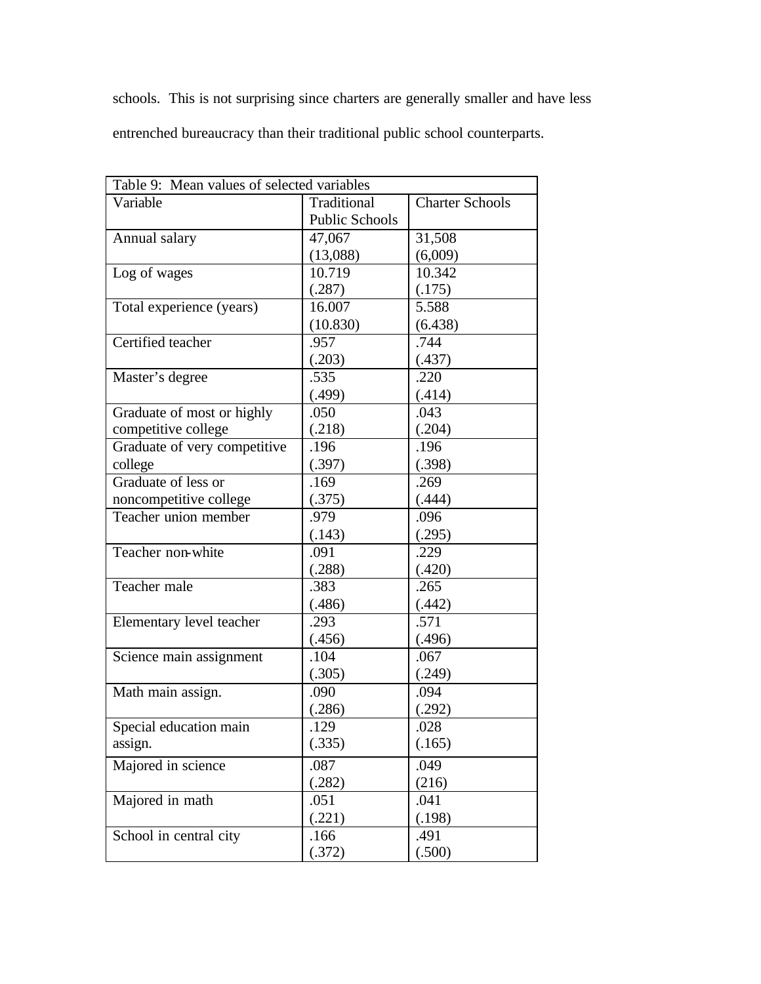schools. This is not surprising since charters are generally smaller and have less entrenched bureaucracy than their traditional public school counterparts.

| Table 9: Mean values of selected variables |                       |                        |  |  |
|--------------------------------------------|-----------------------|------------------------|--|--|
| Variable                                   | Traditional           | <b>Charter Schools</b> |  |  |
|                                            | <b>Public Schools</b> |                        |  |  |
| Annual salary                              | 47,067                | 31,508                 |  |  |
|                                            | (13,088)              | (6,009)                |  |  |
| Log of wages                               | 10.719                | 10.342                 |  |  |
|                                            | (.287)                | (.175)                 |  |  |
| Total experience (years)                   | 16.007                | 5.588                  |  |  |
|                                            | (10.830)              | (6.438)                |  |  |
| Certified teacher                          | .957                  | .744                   |  |  |
|                                            | (.203)                | (.437)                 |  |  |
| Master's degree                            | .535                  | .220                   |  |  |
|                                            | (.499)                | (.414)                 |  |  |
| Graduate of most or highly                 | .050                  | .043                   |  |  |
| competitive college                        | (.218)                | (.204)                 |  |  |
| Graduate of very competitive               | .196                  | .196                   |  |  |
| college                                    | (.397)                | (.398)                 |  |  |
| Graduate of less or                        | .169                  | .269                   |  |  |
| noncompetitive college                     | (.375)                | (.444)                 |  |  |
| Teacher union member                       | .979                  | .096                   |  |  |
|                                            | (.143)                | (.295)                 |  |  |
| Teacher non-white                          | .091                  | .229                   |  |  |
|                                            | (.288)                | (.420)                 |  |  |
| Teacher male                               | .383                  | .265                   |  |  |
|                                            | (.486)                | (.442)                 |  |  |
| Elementary level teacher                   | .293                  | .571                   |  |  |
|                                            | (.456)                | (.496)                 |  |  |
| Science main assignment                    | .104                  | .067                   |  |  |
|                                            | (.305)                | (.249)                 |  |  |
| Math main assign.                          | .090                  | .094                   |  |  |
|                                            | (.286)                | (.292)                 |  |  |
| Special education main                     | .129                  | .028                   |  |  |
| assign.                                    | (.335)                | (.165)                 |  |  |
| Majored in science                         | .087                  | .049                   |  |  |
|                                            | (.282)                | (216)                  |  |  |
| Majored in math                            | .051                  | .041                   |  |  |
|                                            | (.221)                | (.198)                 |  |  |
| School in central city                     | .166                  | .491                   |  |  |
|                                            | (.372)                | (.500)                 |  |  |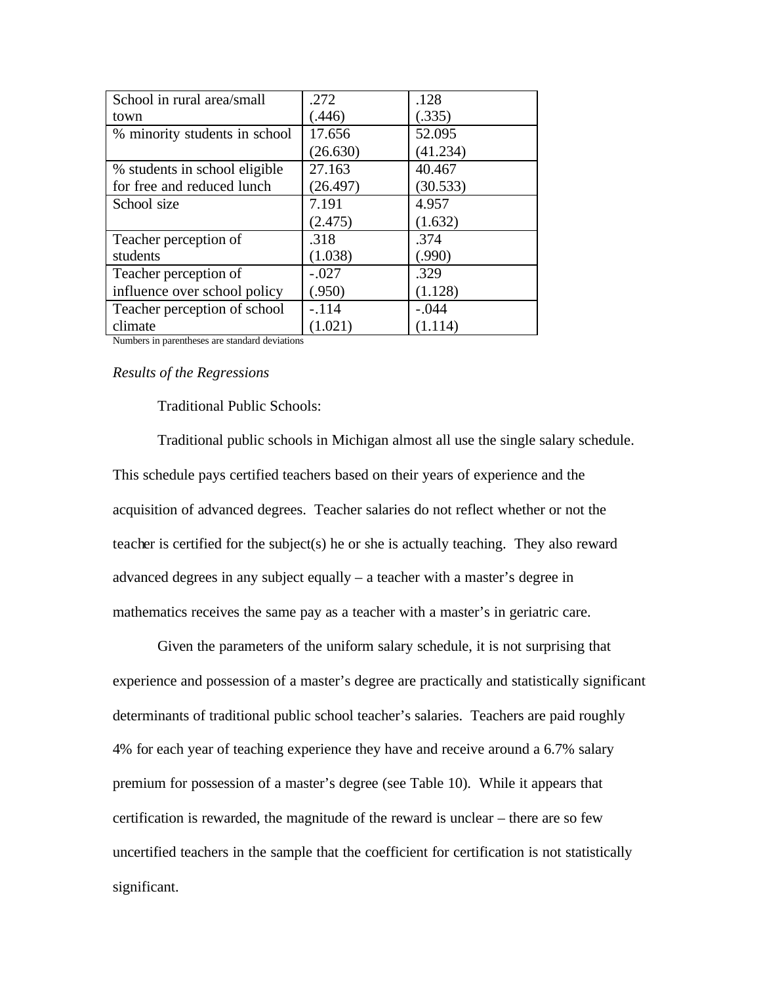| School in rural area/small                                                               | .272     | .128     |
|------------------------------------------------------------------------------------------|----------|----------|
| town                                                                                     | (.446)   | (.335)   |
| % minority students in school                                                            | 17.656   | 52.095   |
|                                                                                          | (26.630) | (41.234) |
| % students in school eligible                                                            | 27.163   | 40.467   |
| for free and reduced lunch                                                               | (26.497) | (30.533) |
| School size                                                                              | 7.191    | 4.957    |
|                                                                                          | (2.475)  | (1.632)  |
| Teacher perception of                                                                    | .318     | .374     |
| students                                                                                 | (1.038)  | (.990)   |
| Teacher perception of                                                                    | $-.027$  | .329     |
| influence over school policy                                                             | (.950)   | (1.128)  |
| Teacher perception of school                                                             | $-.114$  | $-.044$  |
| climate<br>$\mathbf{1}$ $\mathbf{1}$ $\mathbf{1}$ $\mathbf{1}$ $\mathbf{1}$ $\mathbf{1}$ | (1.021)  | (1.114)  |

Numbers in parentheses are standard deviations

# *Results of the Regressions*

# Traditional Public Schools:

Traditional public schools in Michigan almost all use the single salary schedule. This schedule pays certified teachers based on their years of experience and the acquisition of advanced degrees. Teacher salaries do not reflect whether or not the teacher is certified for the subject(s) he or she is actually teaching. They also reward advanced degrees in any subject equally – a teacher with a master's degree in mathematics receives the same pay as a teacher with a master's in geriatric care.

Given the parameters of the uniform salary schedule, it is not surprising that experience and possession of a master's degree are practically and statistically significant determinants of traditional public school teacher's salaries. Teachers are paid roughly 4% for each year of teaching experience they have and receive around a 6.7% salary premium for possession of a master's degree (see Table 10). While it appears that certification is rewarded, the magnitude of the reward is unclear – there are so few uncertified teachers in the sample that the coefficient for certification is not statistically significant.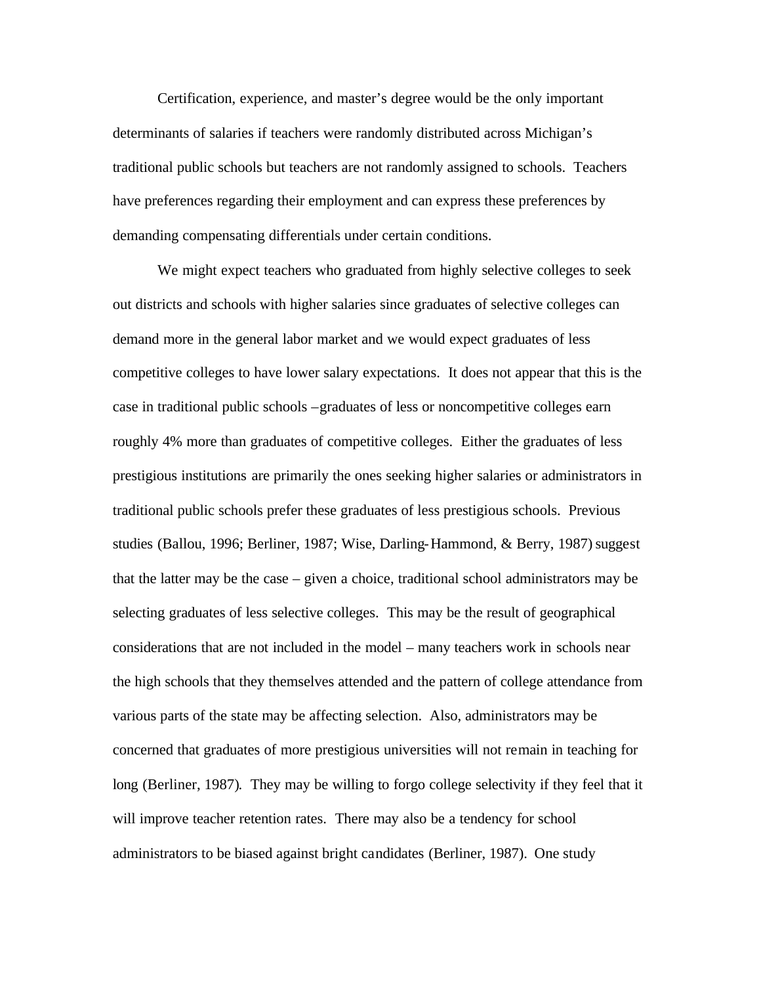Certification, experience, and master's degree would be the only important determinants of salaries if teachers were randomly distributed across Michigan's traditional public schools but teachers are not randomly assigned to schools. Teachers have preferences regarding their employment and can express these preferences by demanding compensating differentials under certain conditions.

We might expect teachers who graduated from highly selective colleges to seek out districts and schools with higher salaries since graduates of selective colleges can demand more in the general labor market and we would expect graduates of less competitive colleges to have lower salary expectations. It does not appear that this is the case in traditional public schools –graduates of less or noncompetitive colleges earn roughly 4% more than graduates of competitive colleges. Either the graduates of less prestigious institutions are primarily the ones seeking higher salaries or administrators in traditional public schools prefer these graduates of less prestigious schools. Previous studies (Ballou, 1996; Berliner, 1987; Wise, Darling-Hammond, & Berry, 1987) suggest that the latter may be the case – given a choice, traditional school administrators may be selecting graduates of less selective colleges. This may be the result of geographical considerations that are not included in the model – many teachers work in schools near the high schools that they themselves attended and the pattern of college attendance from various parts of the state may be affecting selection. Also, administrators may be concerned that graduates of more prestigious universities will not remain in teaching for long (Berliner, 1987). They may be willing to forgo college selectivity if they feel that it will improve teacher retention rates. There may also be a tendency for school administrators to be biased against bright candidates (Berliner, 1987). One study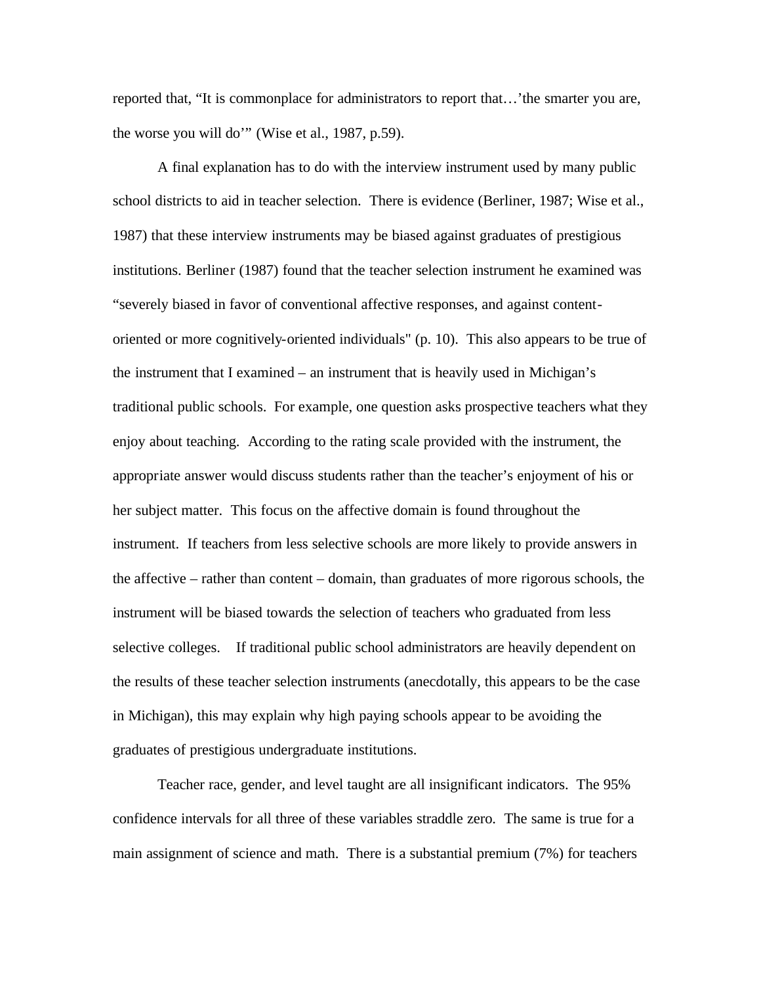reported that, "It is commonplace for administrators to report that…'the smarter you are, the worse you will do'" (Wise et al., 1987, p.59).

A final explanation has to do with the interview instrument used by many public school districts to aid in teacher selection. There is evidence (Berliner, 1987; Wise et al., 1987) that these interview instruments may be biased against graduates of prestigious institutions. Berliner (1987) found that the teacher selection instrument he examined was "severely biased in favor of conventional affective responses, and against contentoriented or more cognitively-oriented individuals" (p. 10). This also appears to be true of the instrument that I examined – an instrument that is heavily used in Michigan's traditional public schools. For example, one question asks prospective teachers what they enjoy about teaching. According to the rating scale provided with the instrument, the appropriate answer would discuss students rather than the teacher's enjoyment of his or her subject matter. This focus on the affective domain is found throughout the instrument. If teachers from less selective schools are more likely to provide answers in the affective – rather than content – domain, than graduates of more rigorous schools, the instrument will be biased towards the selection of teachers who graduated from less selective colleges. If traditional public school administrators are heavily dependent on the results of these teacher selection instruments (anecdotally, this appears to be the case in Michigan), this may explain why high paying schools appear to be avoiding the graduates of prestigious undergraduate institutions.

Teacher race, gender, and level taught are all insignificant indicators. The 95% confidence intervals for all three of these variables straddle zero. The same is true for a main assignment of science and math. There is a substantial premium (7%) for teachers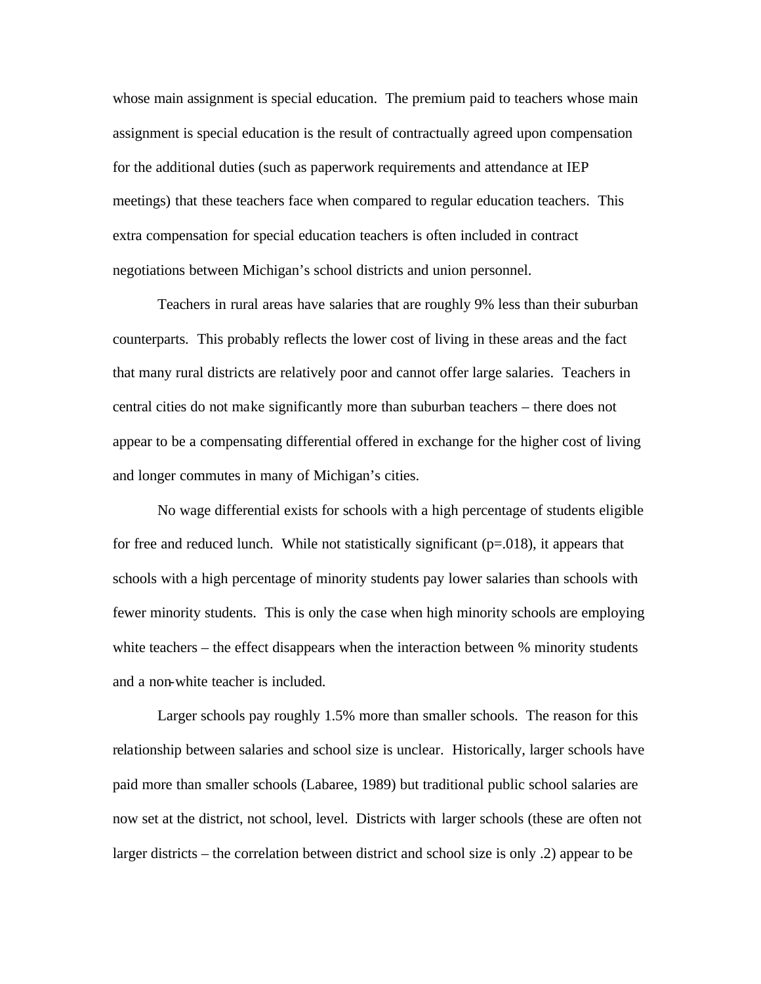whose main assignment is special education. The premium paid to teachers whose main assignment is special education is the result of contractually agreed upon compensation for the additional duties (such as paperwork requirements and attendance at IEP meetings) that these teachers face when compared to regular education teachers. This extra compensation for special education teachers is often included in contract negotiations between Michigan's school districts and union personnel.

Teachers in rural areas have salaries that are roughly 9% less than their suburban counterparts. This probably reflects the lower cost of living in these areas and the fact that many rural districts are relatively poor and cannot offer large salaries. Teachers in central cities do not make significantly more than suburban teachers – there does not appear to be a compensating differential offered in exchange for the higher cost of living and longer commutes in many of Michigan's cities.

No wage differential exists for schools with a high percentage of students eligible for free and reduced lunch. While not statistically significant  $(p=0.018)$ , it appears that schools with a high percentage of minority students pay lower salaries than schools with fewer minority students. This is only the case when high minority schools are employing white teachers – the effect disappears when the interaction between % minority students and a non-white teacher is included.

Larger schools pay roughly 1.5% more than smaller schools. The reason for this relationship between salaries and school size is unclear. Historically, larger schools have paid more than smaller schools (Labaree, 1989) but traditional public school salaries are now set at the district, not school, level. Districts with larger schools (these are often not larger districts – the correlation between district and school size is only .2) appear to be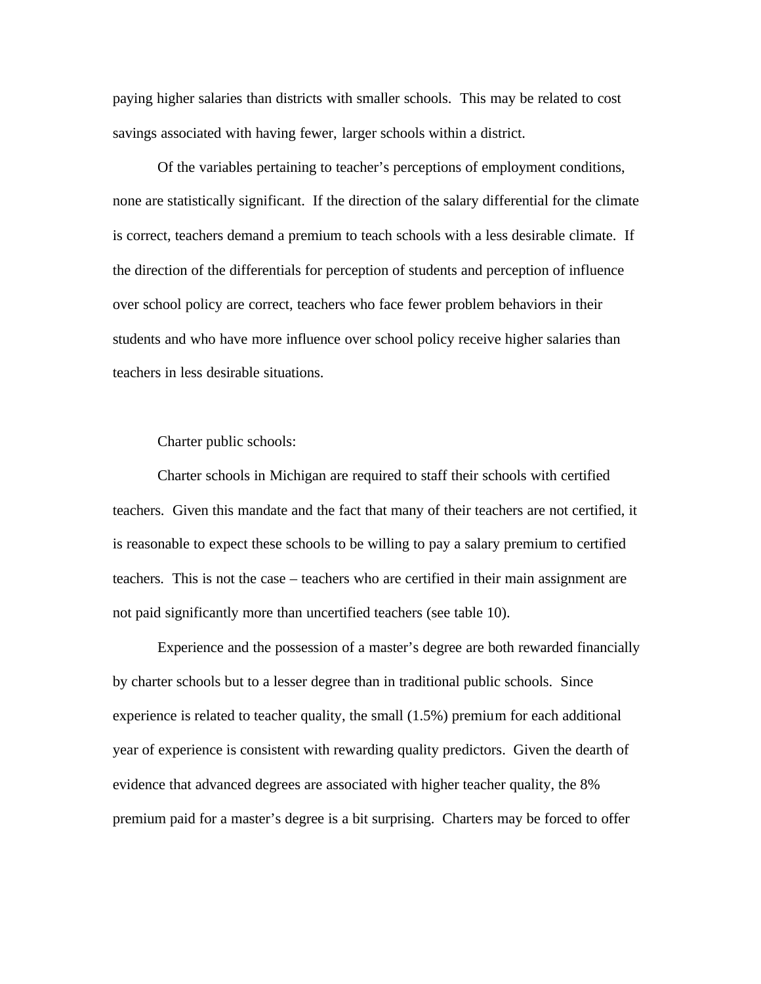paying higher salaries than districts with smaller schools. This may be related to cost savings associated with having fewer, larger schools within a district.

Of the variables pertaining to teacher's perceptions of employment conditions, none are statistically significant. If the direction of the salary differential for the climate is correct, teachers demand a premium to teach schools with a less desirable climate. If the direction of the differentials for perception of students and perception of influence over school policy are correct, teachers who face fewer problem behaviors in their students and who have more influence over school policy receive higher salaries than teachers in less desirable situations.

Charter public schools:

Charter schools in Michigan are required to staff their schools with certified teachers. Given this mandate and the fact that many of their teachers are not certified, it is reasonable to expect these schools to be willing to pay a salary premium to certified teachers. This is not the case – teachers who are certified in their main assignment are not paid significantly more than uncertified teachers (see table 10).

Experience and the possession of a master's degree are both rewarded financially by charter schools but to a lesser degree than in traditional public schools. Since experience is related to teacher quality, the small (1.5%) premium for each additional year of experience is consistent with rewarding quality predictors. Given the dearth of evidence that advanced degrees are associated with higher teacher quality, the 8% premium paid for a master's degree is a bit surprising. Charters may be forced to offer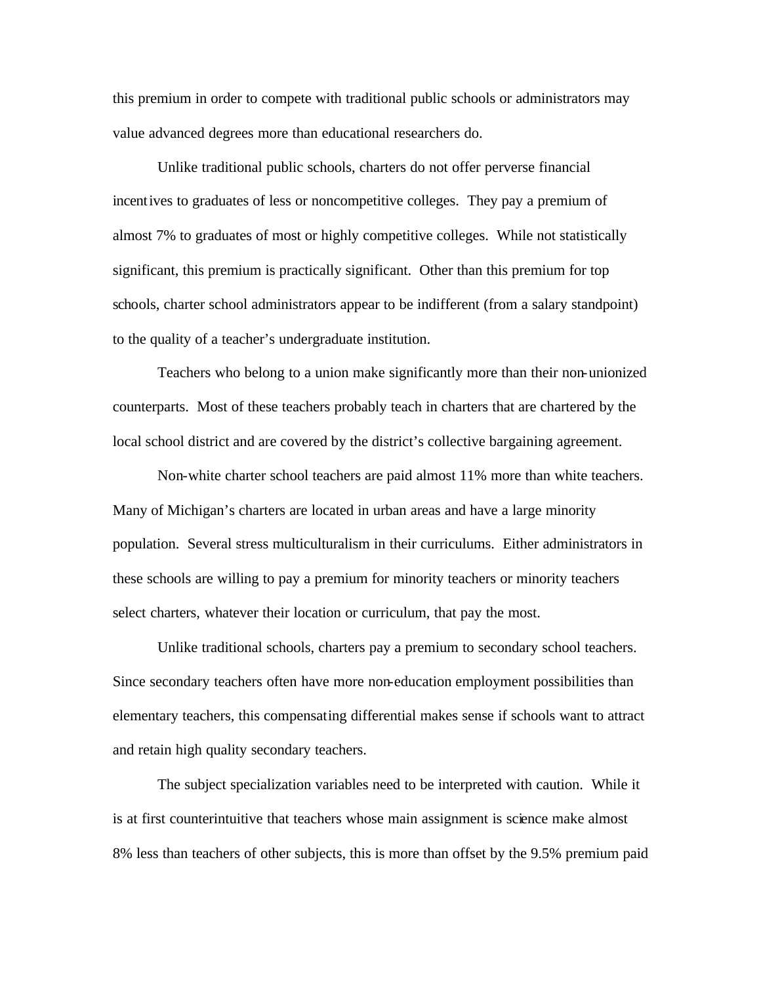this premium in order to compete with traditional public schools or administrators may value advanced degrees more than educational researchers do.

Unlike traditional public schools, charters do not offer perverse financial incentives to graduates of less or noncompetitive colleges. They pay a premium of almost 7% to graduates of most or highly competitive colleges. While not statistically significant, this premium is practically significant. Other than this premium for top schools, charter school administrators appear to be indifferent (from a salary standpoint) to the quality of a teacher's undergraduate institution.

Teachers who belong to a union make significantly more than their non-unionized counterparts. Most of these teachers probably teach in charters that are chartered by the local school district and are covered by the district's collective bargaining agreement.

Non-white charter school teachers are paid almost 11% more than white teachers. Many of Michigan's charters are located in urban areas and have a large minority population. Several stress multiculturalism in their curriculums. Either administrators in these schools are willing to pay a premium for minority teachers or minority teachers select charters, whatever their location or curriculum, that pay the most.

Unlike traditional schools, charters pay a premium to secondary school teachers. Since secondary teachers often have more non-education employment possibilities than elementary teachers, this compensating differential makes sense if schools want to attract and retain high quality secondary teachers.

The subject specialization variables need to be interpreted with caution. While it is at first counterintuitive that teachers whose main assignment is science make almost 8% less than teachers of other subjects, this is more than offset by the 9.5% premium paid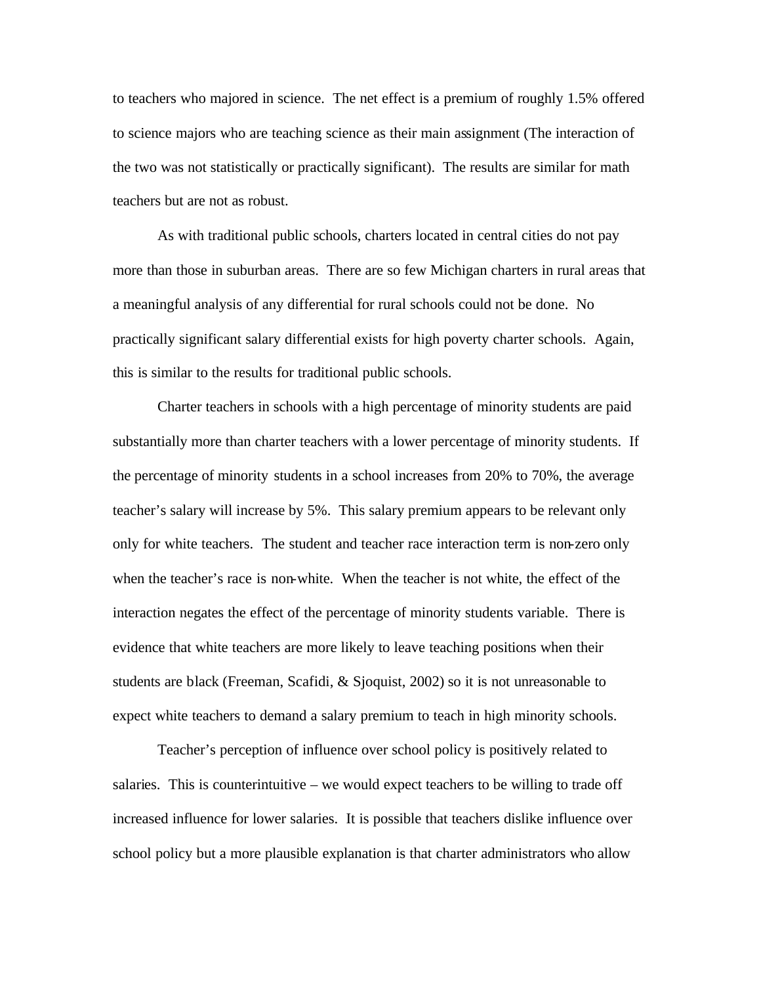to teachers who majored in science. The net effect is a premium of roughly 1.5% offered to science majors who are teaching science as their main assignment (The interaction of the two was not statistically or practically significant). The results are similar for math teachers but are not as robust.

As with traditional public schools, charters located in central cities do not pay more than those in suburban areas. There are so few Michigan charters in rural areas that a meaningful analysis of any differential for rural schools could not be done. No practically significant salary differential exists for high poverty charter schools. Again, this is similar to the results for traditional public schools.

Charter teachers in schools with a high percentage of minority students are paid substantially more than charter teachers with a lower percentage of minority students. If the percentage of minority students in a school increases from 20% to 70%, the average teacher's salary will increase by 5%. This salary premium appears to be relevant only only for white teachers. The student and teacher race interaction term is non-zero only when the teacher's race is non-white. When the teacher is not white, the effect of the interaction negates the effect of the percentage of minority students variable. There is evidence that white teachers are more likely to leave teaching positions when their students are black (Freeman, Scafidi, & Sjoquist, 2002) so it is not unreasonable to expect white teachers to demand a salary premium to teach in high minority schools.

Teacher's perception of influence over school policy is positively related to salaries. This is counterintuitive – we would expect teachers to be willing to trade off increased influence for lower salaries. It is possible that teachers dislike influence over school policy but a more plausible explanation is that charter administrators who allow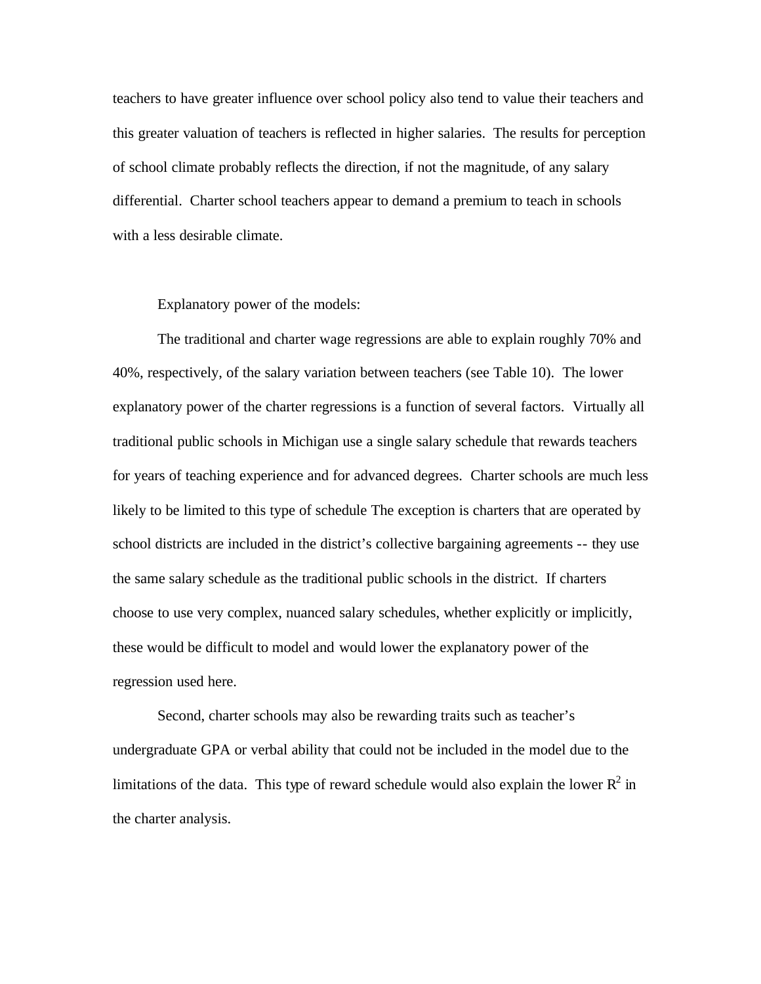teachers to have greater influence over school policy also tend to value their teachers and this greater valuation of teachers is reflected in higher salaries. The results for perception of school climate probably reflects the direction, if not the magnitude, of any salary differential. Charter school teachers appear to demand a premium to teach in schools with a less desirable climate.

#### Explanatory power of the models:

The traditional and charter wage regressions are able to explain roughly 70% and 40%, respectively, of the salary variation between teachers (see Table 10). The lower explanatory power of the charter regressions is a function of several factors. Virtually all traditional public schools in Michigan use a single salary schedule that rewards teachers for years of teaching experience and for advanced degrees. Charter schools are much less likely to be limited to this type of schedule The exception is charters that are operated by school districts are included in the district's collective bargaining agreements -- they use the same salary schedule as the traditional public schools in the district. If charters choose to use very complex, nuanced salary schedules, whether explicitly or implicitly, these would be difficult to model and would lower the explanatory power of the regression used here.

Second, charter schools may also be rewarding traits such as teacher's undergraduate GPA or verbal ability that could not be included in the model due to the limitations of the data. This type of reward schedule would also explain the lower  $R^2$  in the charter analysis.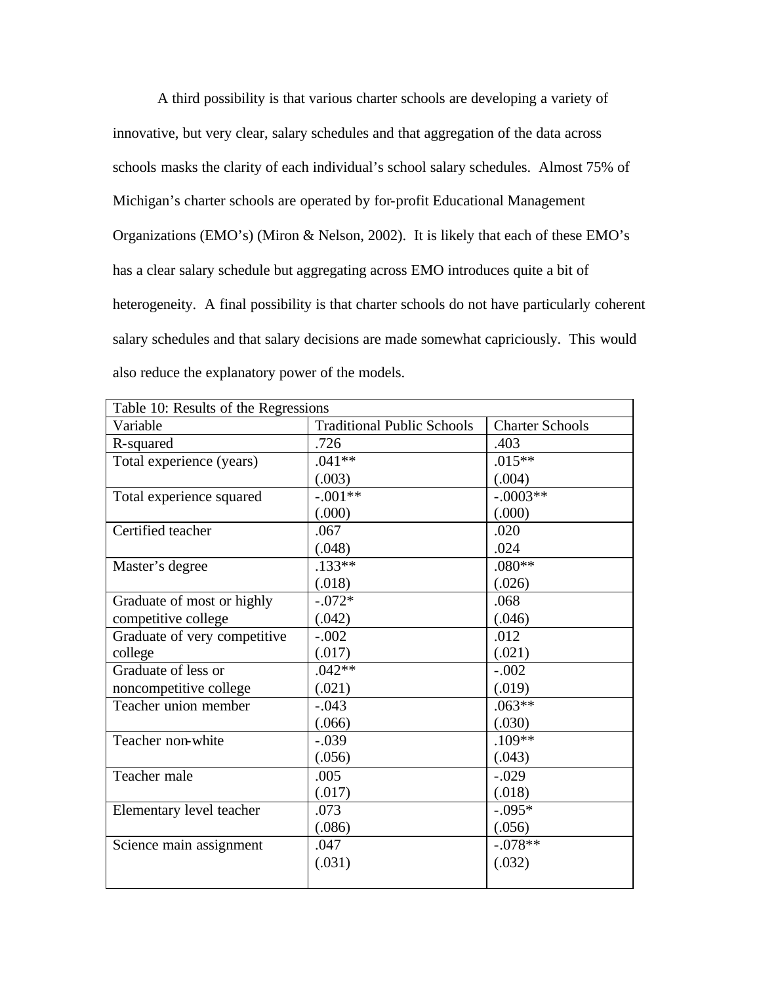A third possibility is that various charter schools are developing a variety of innovative, but very clear, salary schedules and that aggregation of the data across schools masks the clarity of each individual's school salary schedules. Almost 75% of Michigan's charter schools are operated by for-profit Educational Management Organizations (EMO's) (Miron & Nelson, 2002). It is likely that each of these EMO's has a clear salary schedule but aggregating across EMO introduces quite a bit of heterogeneity. A final possibility is that charter schools do not have particularly coherent salary schedules and that salary decisions are made somewhat capriciously. This would also reduce the explanatory power of the models.

| Table 10: Results of the Regressions |                                   |                        |
|--------------------------------------|-----------------------------------|------------------------|
| Variable                             | <b>Traditional Public Schools</b> | <b>Charter Schools</b> |
| R-squared                            | .726                              | .403                   |
| Total experience (years)             | $.041**$                          | $.015**$               |
|                                      | (.003)                            | (.004)                 |
| Total experience squared             | $-.001**$                         | $-.0003**$             |
|                                      | (.000)                            | (.000)                 |
| Certified teacher                    | .067                              | .020                   |
|                                      | (.048)                            | .024                   |
| Master's degree                      | $.133**$                          | $.080**$               |
|                                      | (.018)                            | (.026)                 |
| Graduate of most or highly           | $-.072*$                          | .068                   |
| competitive college                  | (.042)                            | (.046)                 |
| Graduate of very competitive         | $-.002$                           | .012                   |
| college                              | (.017)                            | (.021)                 |
| Graduate of less or                  | $.042**$                          | $-.002$                |
| noncompetitive college               | (.021)                            | (.019)                 |
| Teacher union member                 | $-.043$                           | $.063**$               |
|                                      | (.066)                            | (.030)                 |
| Teacher non-white                    | $-.039$                           | $.109**$               |
|                                      | (.056)                            | (.043)                 |
| Teacher male                         | .005                              | $-.029$                |
|                                      | (.017)                            | (.018)                 |
| Elementary level teacher             | .073                              | $-.095*$               |
|                                      | (.086)                            | (.056)                 |
| Science main assignment              | .047                              | $-.078**$              |
|                                      | (.031)                            | (.032)                 |
|                                      |                                   |                        |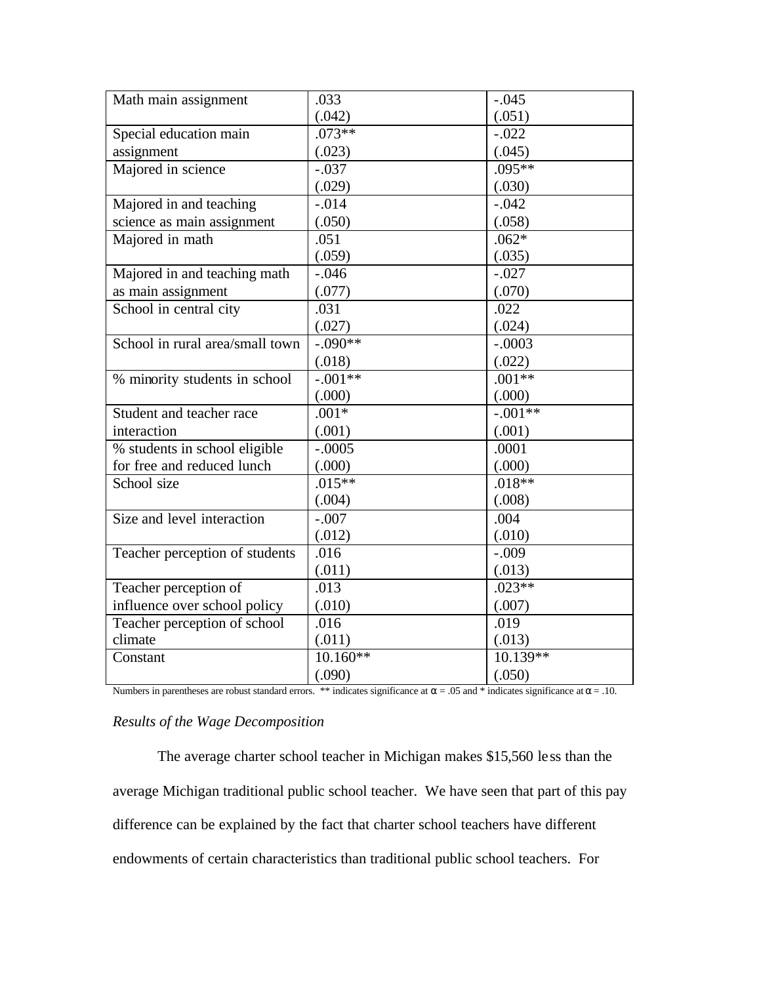| .033       | $-.045$    |
|------------|------------|
| (.042)     | (.051)     |
| $.073**$   | $-.022$    |
| (.023)     | (.045)     |
| $-.037$    | $.095**$   |
| (.029)     | (.030)     |
| $-.014$    | $-.042$    |
| (.050)     | (.058)     |
| .051       | $.062*$    |
|            | (.035)     |
| $-.046$    | $-.027$    |
| (.077)     | (.070)     |
| .031       | .022       |
| (.027)     | (.024)     |
| $-.090**$  | $-.0003$   |
| (.018)     | (.022)     |
| $-.001**$  | $.001**$   |
| (.000)     | (.000)     |
| $.001*$    | $-.001**$  |
| (.001)     | (.001)     |
| $-.0005$   | .0001      |
| (.000)     | (.000)     |
| $.015**$   | $.018**$   |
| (.004)     | (.008)     |
| $-.007$    | .004       |
| (.012)     | (.010)     |
| .016       | $-.009$    |
| (.011)     | (.013)     |
| .013       | $.023**$   |
| (.010)     | (.007)     |
| .016       | .019       |
| (.011)     | (.013)     |
| $10.160**$ | $10.139**$ |
| (.090)     | (.050)     |
|            | (.059)     |

Numbers in parentheses are robust standard errors. \*\* indicates significance at  $\alpha = .05$  and \* indicates significance at  $\alpha = .10$ .

### *Results of the Wage Decomposition*

The average charter school teacher in Michigan makes \$15,560 less than the average Michigan traditional public school teacher. We have seen that part of this pay difference can be explained by the fact that charter school teachers have different endowments of certain characteristics than traditional public school teachers. For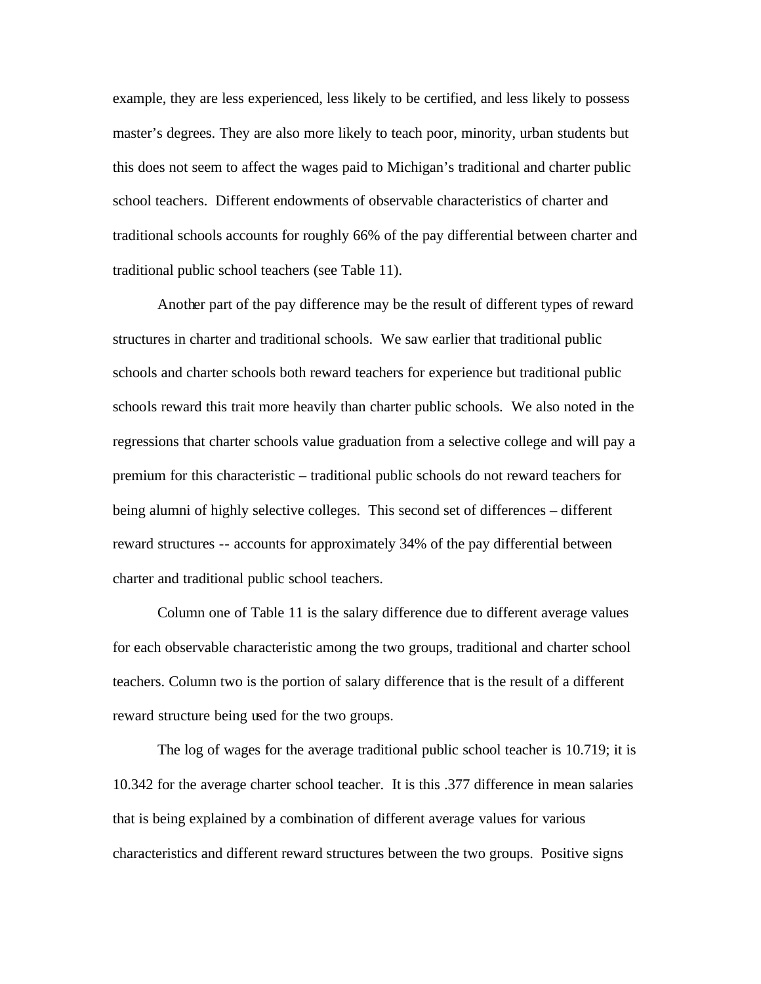example, they are less experienced, less likely to be certified, and less likely to possess master's degrees. They are also more likely to teach poor, minority, urban students but this does not seem to affect the wages paid to Michigan's traditional and charter public school teachers. Different endowments of observable characteristics of charter and traditional schools accounts for roughly 66% of the pay differential between charter and traditional public school teachers (see Table 11).

Another part of the pay difference may be the result of different types of reward structures in charter and traditional schools. We saw earlier that traditional public schools and charter schools both reward teachers for experience but traditional public schools reward this trait more heavily than charter public schools. We also noted in the regressions that charter schools value graduation from a selective college and will pay a premium for this characteristic – traditional public schools do not reward teachers for being alumni of highly selective colleges. This second set of differences – different reward structures -- accounts for approximately 34% of the pay differential between charter and traditional public school teachers.

Column one of Table 11 is the salary difference due to different average values for each observable characteristic among the two groups, traditional and charter school teachers. Column two is the portion of salary difference that is the result of a different reward structure being used for the two groups.

The log of wages for the average traditional public school teacher is 10.719; it is 10.342 for the average charter school teacher. It is this .377 difference in mean salaries that is being explained by a combination of different average values for various characteristics and different reward structures between the two groups. Positive signs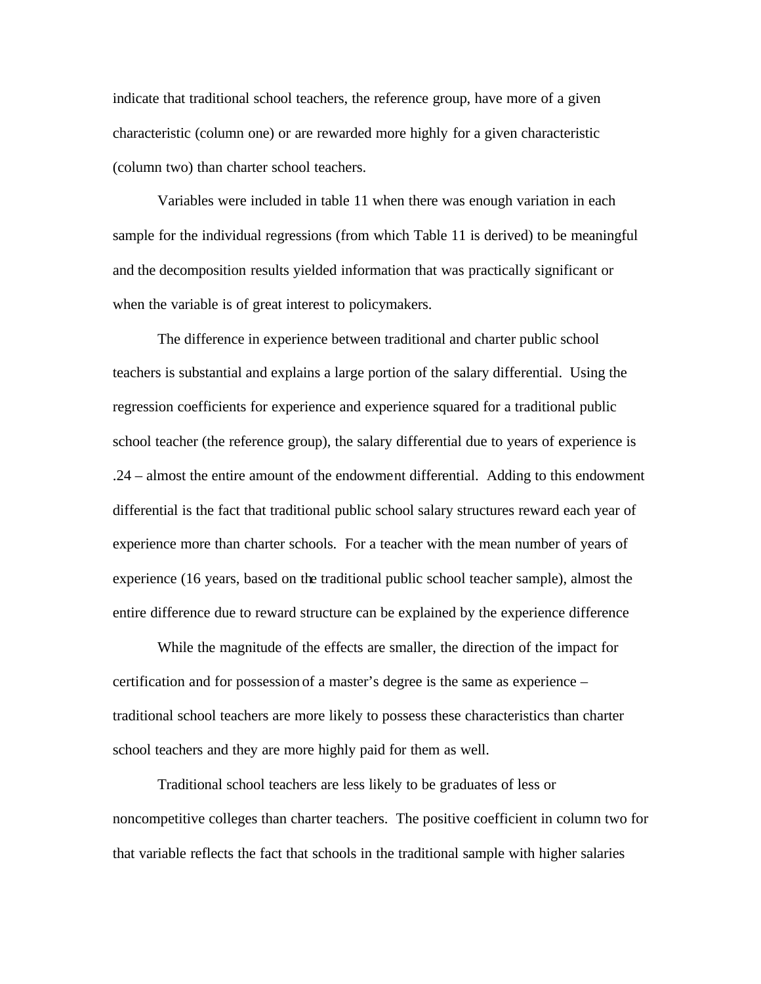indicate that traditional school teachers, the reference group, have more of a given characteristic (column one) or are rewarded more highly for a given characteristic (column two) than charter school teachers.

Variables were included in table 11 when there was enough variation in each sample for the individual regressions (from which Table 11 is derived) to be meaningful and the decomposition results yielded information that was practically significant or when the variable is of great interest to policymakers.

The difference in experience between traditional and charter public school teachers is substantial and explains a large portion of the salary differential. Using the regression coefficients for experience and experience squared for a traditional public school teacher (the reference group), the salary differential due to years of experience is .24 – almost the entire amount of the endowment differential. Adding to this endowment differential is the fact that traditional public school salary structures reward each year of experience more than charter schools. For a teacher with the mean number of years of experience (16 years, based on the traditional public school teacher sample), almost the entire difference due to reward structure can be explained by the experience difference

While the magnitude of the effects are smaller, the direction of the impact for certification and for possession of a master's degree is the same as experience – traditional school teachers are more likely to possess these characteristics than charter school teachers and they are more highly paid for them as well.

Traditional school teachers are less likely to be graduates of less or noncompetitive colleges than charter teachers. The positive coefficient in column two for that variable reflects the fact that schools in the traditional sample with higher salaries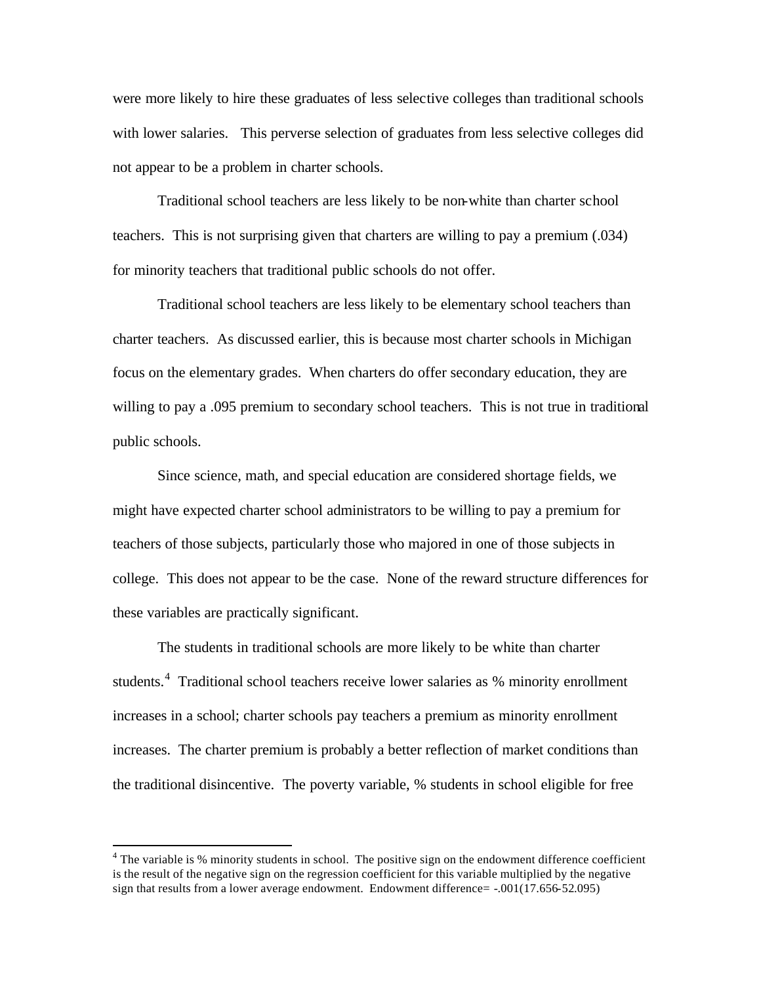were more likely to hire these graduates of less selective colleges than traditional schools with lower salaries. This perverse selection of graduates from less selective colleges did not appear to be a problem in charter schools.

Traditional school teachers are less likely to be non-white than charter school teachers. This is not surprising given that charters are willing to pay a premium (.034) for minority teachers that traditional public schools do not offer.

Traditional school teachers are less likely to be elementary school teachers than charter teachers. As discussed earlier, this is because most charter schools in Michigan focus on the elementary grades. When charters do offer secondary education, they are willing to pay a .095 premium to secondary school teachers. This is not true in traditional public schools.

Since science, math, and special education are considered shortage fields, we might have expected charter school administrators to be willing to pay a premium for teachers of those subjects, particularly those who majored in one of those subjects in college. This does not appear to be the case. None of the reward structure differences for these variables are practically significant.

The students in traditional schools are more likely to be white than charter students.<sup>4</sup> Traditional school teachers receive lower salaries as % minority enrollment increases in a school; charter schools pay teachers a premium as minority enrollment increases. The charter premium is probably a better reflection of market conditions than the traditional disincentive. The poverty variable, % students in school eligible for free

 $\overline{a}$ 

 $4$  The variable is % minority students in school. The positive sign on the endowment difference coefficient is the result of the negative sign on the regression coefficient for this variable multiplied by the negative sign that results from a lower average endowment. Endowment difference= -.001(17.656-52.095)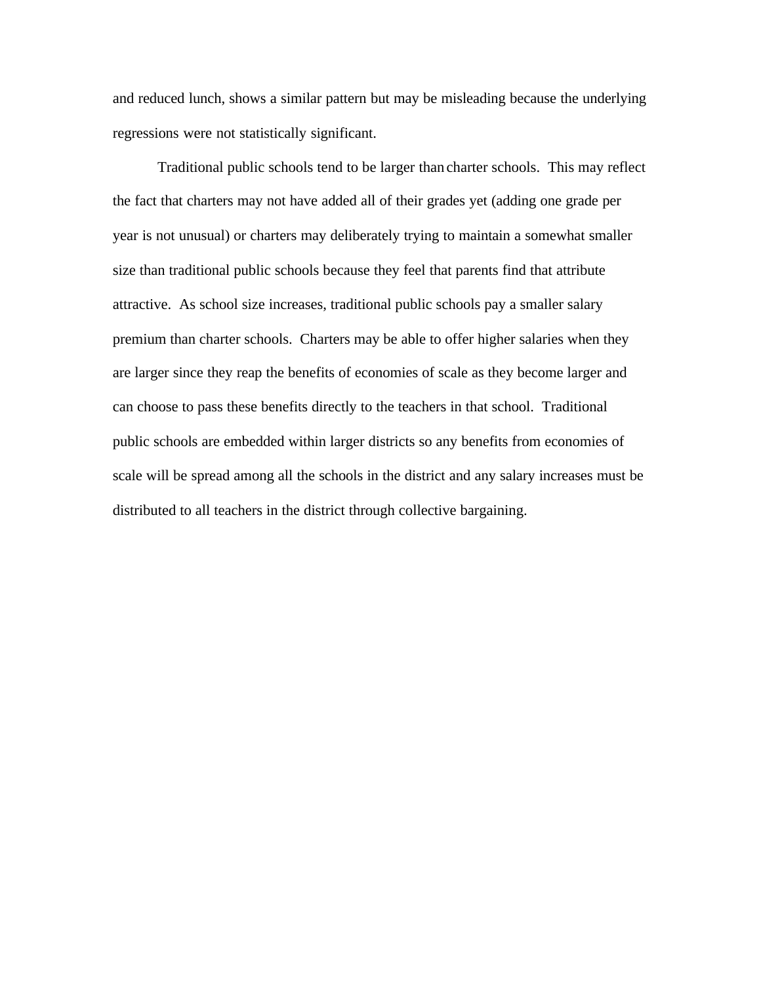and reduced lunch, shows a similar pattern but may be misleading because the underlying regressions were not statistically significant.

Traditional public schools tend to be larger than charter schools. This may reflect the fact that charters may not have added all of their grades yet (adding one grade per year is not unusual) or charters may deliberately trying to maintain a somewhat smaller size than traditional public schools because they feel that parents find that attribute attractive. As school size increases, traditional public schools pay a smaller salary premium than charter schools. Charters may be able to offer higher salaries when they are larger since they reap the benefits of economies of scale as they become larger and can choose to pass these benefits directly to the teachers in that school. Traditional public schools are embedded within larger districts so any benefits from economies of scale will be spread among all the schools in the district and any salary increases must be distributed to all teachers in the district through collective bargaining.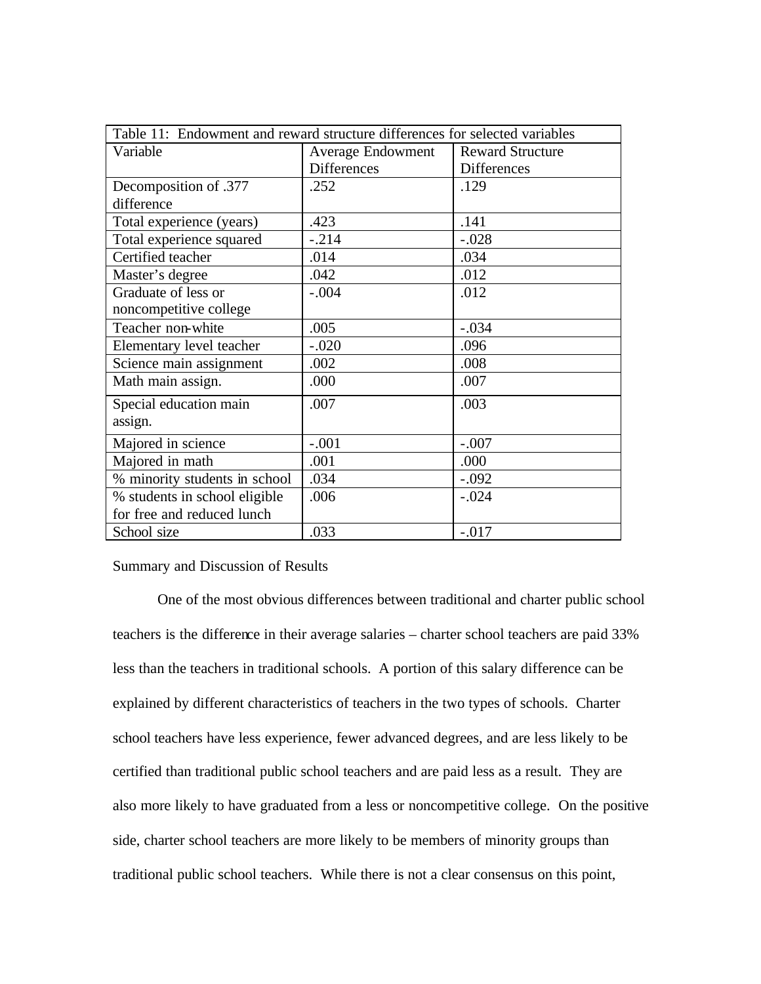| Table 11: Endowment and reward structure differences for selected variables |                          |                         |  |  |  |
|-----------------------------------------------------------------------------|--------------------------|-------------------------|--|--|--|
| Variable                                                                    | <b>Average Endowment</b> | <b>Reward Structure</b> |  |  |  |
|                                                                             | <b>Differences</b>       | Differences             |  |  |  |
| Decomposition of .377                                                       | .252                     | .129                    |  |  |  |
| difference                                                                  |                          |                         |  |  |  |
| Total experience (years)                                                    | .423                     | .141                    |  |  |  |
| Total experience squared                                                    | $-.214$                  | $-.028$                 |  |  |  |
| Certified teacher                                                           | .014                     | .034                    |  |  |  |
| Master's degree                                                             | .042                     | .012                    |  |  |  |
| Graduate of less or                                                         | $-.004$                  | .012                    |  |  |  |
| noncompetitive college                                                      |                          |                         |  |  |  |
| Teacher non-white                                                           | .005                     | $-.034$                 |  |  |  |
| Elementary level teacher                                                    | $-.020$                  | .096                    |  |  |  |
| Science main assignment                                                     | .002                     | .008                    |  |  |  |
| Math main assign.                                                           | .000                     | .007                    |  |  |  |
| Special education main                                                      | .007                     | .003                    |  |  |  |
| assign.                                                                     |                          |                         |  |  |  |
| Majored in science                                                          | $-.001$                  | $-.007$                 |  |  |  |
| Majored in math                                                             | .001                     | .000                    |  |  |  |
| % minority students in school                                               | .034                     | $-.092$                 |  |  |  |
| % students in school eligible                                               | .006                     | $-.024$                 |  |  |  |
| for free and reduced lunch                                                  |                          |                         |  |  |  |
| School size                                                                 | .033                     | $-.017$                 |  |  |  |

### Summary and Discussion of Results

One of the most obvious differences between traditional and charter public school teachers is the difference in their average salaries – charter school teachers are paid 33% less than the teachers in traditional schools. A portion of this salary difference can be explained by different characteristics of teachers in the two types of schools. Charter school teachers have less experience, fewer advanced degrees, and are less likely to be certified than traditional public school teachers and are paid less as a result. They are also more likely to have graduated from a less or noncompetitive college. On the positive side, charter school teachers are more likely to be members of minority groups than traditional public school teachers. While there is not a clear consensus on this point,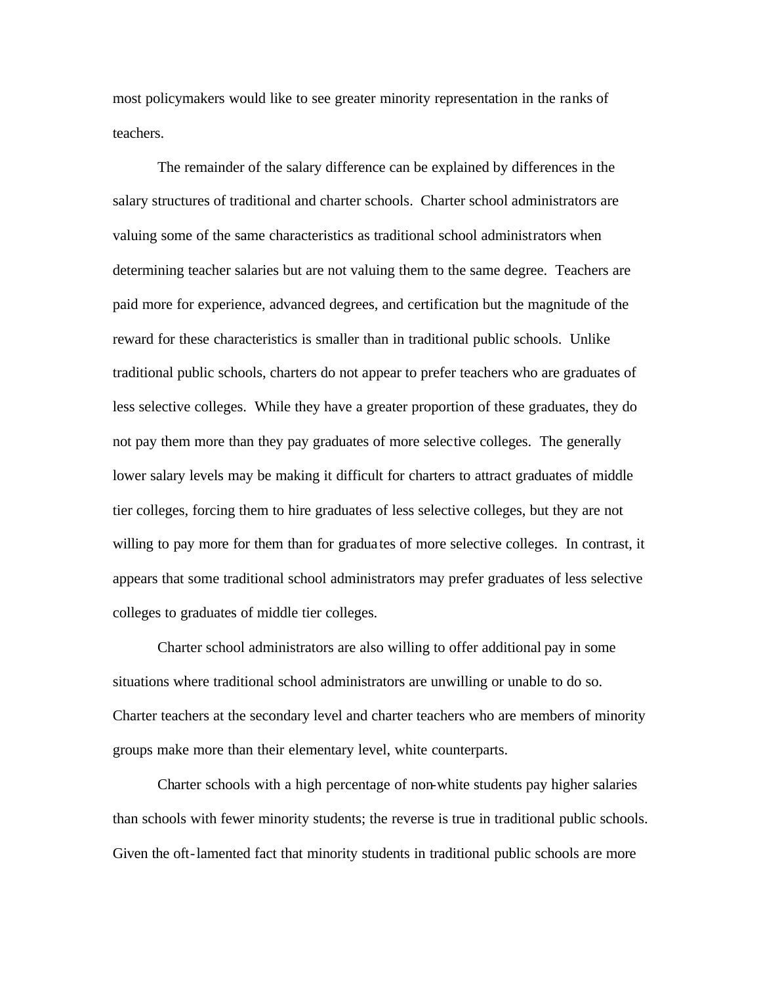most policymakers would like to see greater minority representation in the ranks of teachers.

The remainder of the salary difference can be explained by differences in the salary structures of traditional and charter schools. Charter school administrators are valuing some of the same characteristics as traditional school administrators when determining teacher salaries but are not valuing them to the same degree. Teachers are paid more for experience, advanced degrees, and certification but the magnitude of the reward for these characteristics is smaller than in traditional public schools. Unlike traditional public schools, charters do not appear to prefer teachers who are graduates of less selective colleges. While they have a greater proportion of these graduates, they do not pay them more than they pay graduates of more selective colleges. The generally lower salary levels may be making it difficult for charters to attract graduates of middle tier colleges, forcing them to hire graduates of less selective colleges, but they are not willing to pay more for them than for graduates of more selective colleges. In contrast, it appears that some traditional school administrators may prefer graduates of less selective colleges to graduates of middle tier colleges.

Charter school administrators are also willing to offer additional pay in some situations where traditional school administrators are unwilling or unable to do so. Charter teachers at the secondary level and charter teachers who are members of minority groups make more than their elementary level, white counterparts.

Charter schools with a high percentage of non-white students pay higher salaries than schools with fewer minority students; the reverse is true in traditional public schools. Given the oft-lamented fact that minority students in traditional public schools are more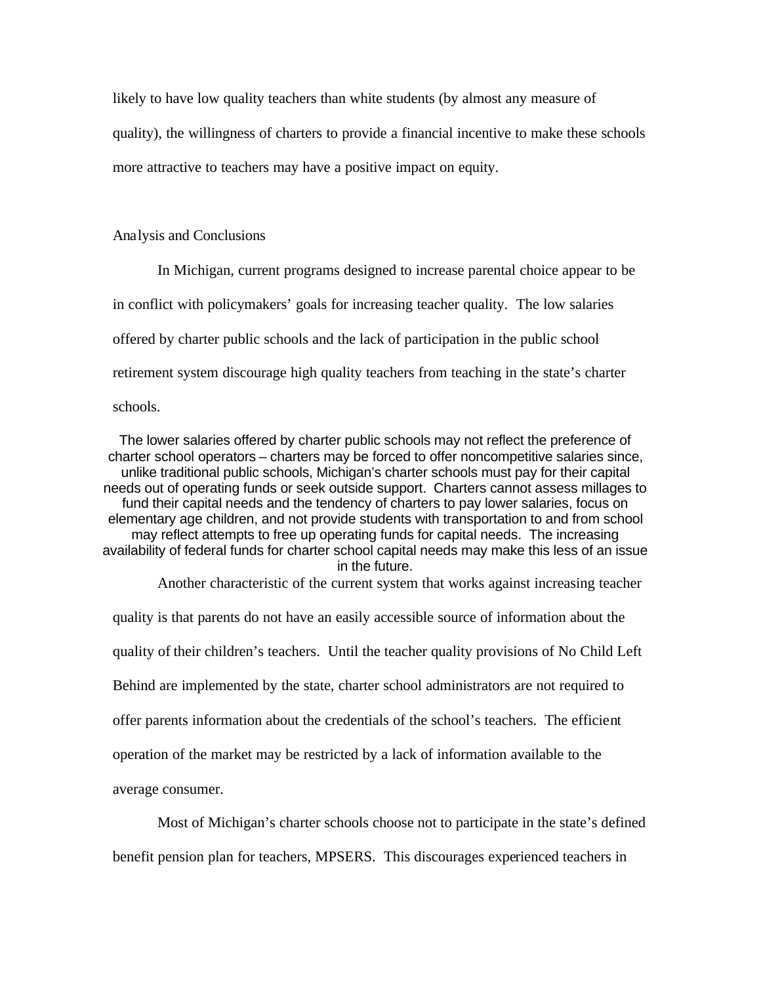likely to have low quality teachers than white students (by almost any measure of quality), the willingness of charters to provide a financial incentive to make these schools more attractive to teachers may have a positive impact on equity.

Analysis and Conclusions

In Michigan, current programs designed to increase parental choice appear to be in conflict with policymakers' goals for increasing teacher quality. The low salaries offered by charter public schools and the lack of participation in the public school retirement system discourage high quality teachers from teaching in the state's charter schools.

The lower salaries offered by charter public schools may not reflect the preference of charter school operators – charters may be forced to offer noncompetitive salaries since, unlike traditional public schools, Michigan's charter schools must pay for their capital needs out of operating funds or seek outside support. Charters cannot assess millages to fund their capital needs and the tendency of charters to pay lower salaries, focus on elementary age children, and not provide students with transportation to and from school may reflect attempts to free up operating funds for capital needs. The increasing availability of federal funds for charter school capital needs may make this less of an issue in the future.

Another characteristic of the current system that works against increasing teacher

quality is that parents do not have an easily accessible source of information about the quality of their children's teachers. Until the teacher quality provisions of No Child Left Behind are implemented by the state, charter school administrators are not required to offer parents information about the credentials of the school's teachers. The efficient operation of the market may be restricted by a lack of information available to the average consumer.

Most of Michigan's charter schools choose not to participate in the state's defined benefit pension plan for teachers, MPSERS. This discourages experienced teachers in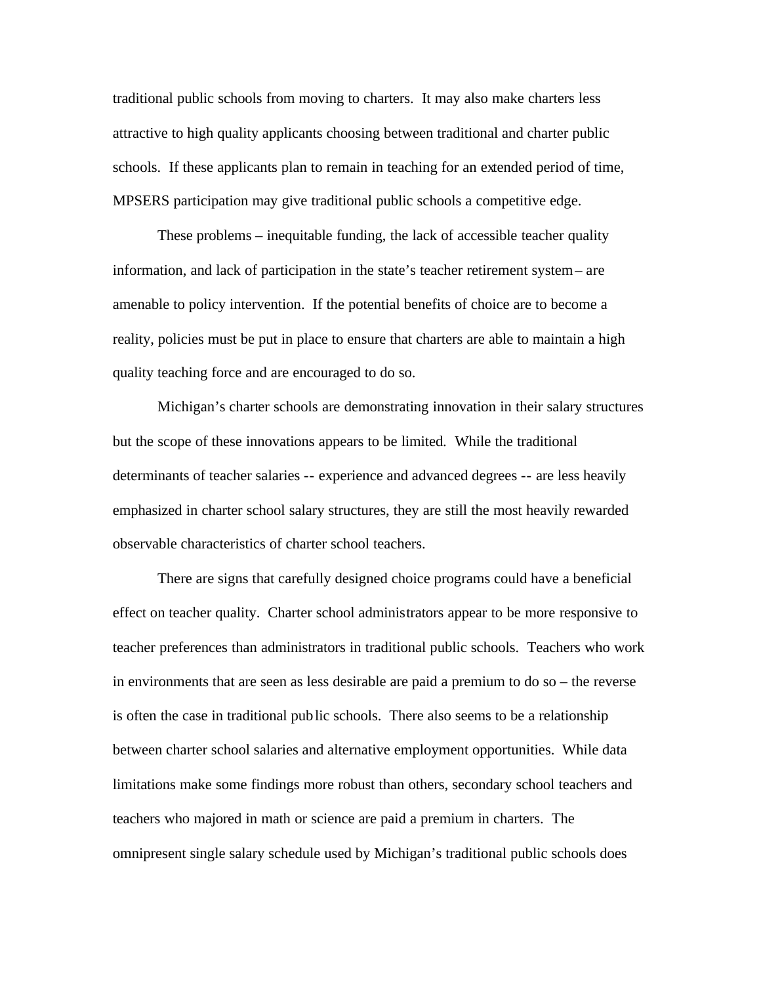traditional public schools from moving to charters. It may also make charters less attractive to high quality applicants choosing between traditional and charter public schools. If these applicants plan to remain in teaching for an extended period of time, MPSERS participation may give traditional public schools a competitive edge.

These problems – inequitable funding, the lack of accessible teacher quality information, and lack of participation in the state's teacher retirement system– are amenable to policy intervention. If the potential benefits of choice are to become a reality, policies must be put in place to ensure that charters are able to maintain a high quality teaching force and are encouraged to do so.

Michigan's charter schools are demonstrating innovation in their salary structures but the scope of these innovations appears to be limited. While the traditional determinants of teacher salaries -- experience and advanced degrees -- are less heavily emphasized in charter school salary structures, they are still the most heavily rewarded observable characteristics of charter school teachers.

There are signs that carefully designed choice programs could have a beneficial effect on teacher quality. Charter school administrators appear to be more responsive to teacher preferences than administrators in traditional public schools. Teachers who work in environments that are seen as less desirable are paid a premium to do so – the reverse is often the case in traditional public schools. There also seems to be a relationship between charter school salaries and alternative employment opportunities. While data limitations make some findings more robust than others, secondary school teachers and teachers who majored in math or science are paid a premium in charters. The omnipresent single salary schedule used by Michigan's traditional public schools does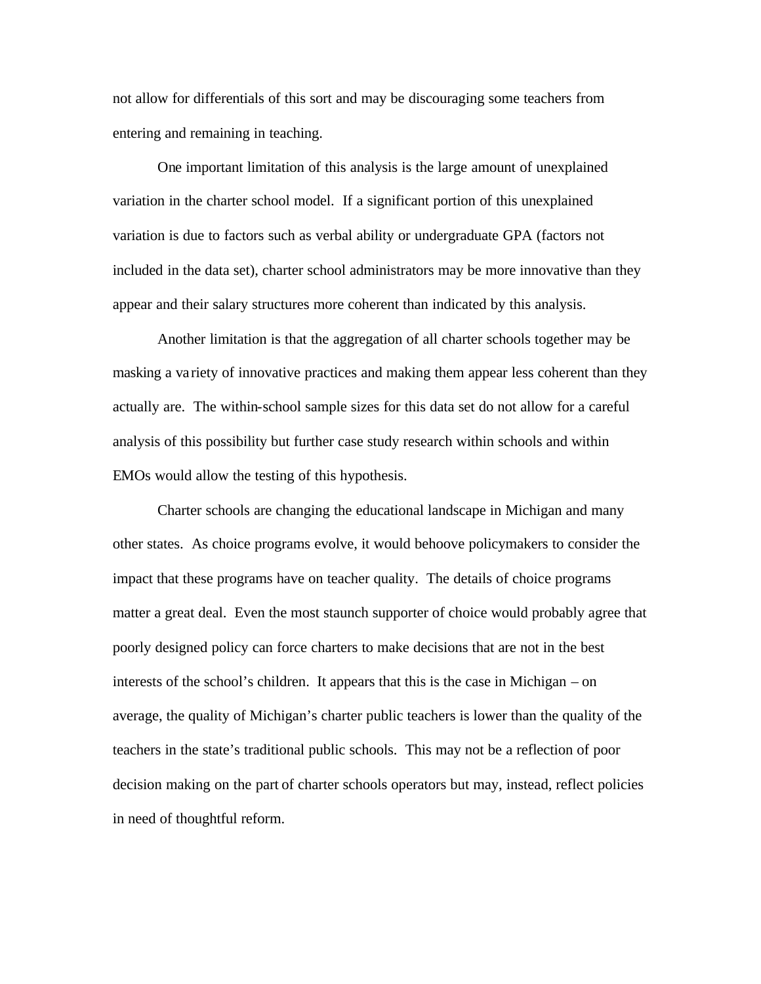not allow for differentials of this sort and may be discouraging some teachers from entering and remaining in teaching.

One important limitation of this analysis is the large amount of unexplained variation in the charter school model. If a significant portion of this unexplained variation is due to factors such as verbal ability or undergraduate GPA (factors not included in the data set), charter school administrators may be more innovative than they appear and their salary structures more coherent than indicated by this analysis.

Another limitation is that the aggregation of all charter schools together may be masking a variety of innovative practices and making them appear less coherent than they actually are. The within-school sample sizes for this data set do not allow for a careful analysis of this possibility but further case study research within schools and within EMOs would allow the testing of this hypothesis.

Charter schools are changing the educational landscape in Michigan and many other states. As choice programs evolve, it would behoove policymakers to consider the impact that these programs have on teacher quality. The details of choice programs matter a great deal. Even the most staunch supporter of choice would probably agree that poorly designed policy can force charters to make decisions that are not in the best interests of the school's children. It appears that this is the case in Michigan – on average, the quality of Michigan's charter public teachers is lower than the quality of the teachers in the state's traditional public schools. This may not be a reflection of poor decision making on the part of charter schools operators but may, instead, reflect policies in need of thoughtful reform.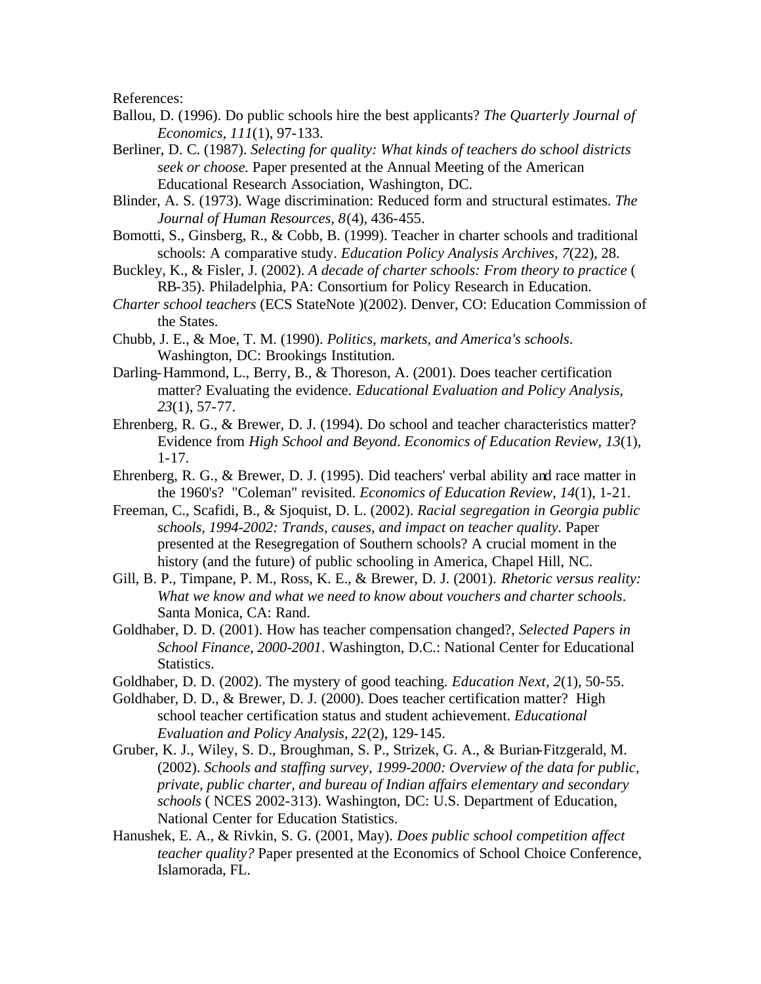References:

- Ballou, D. (1996). Do public schools hire the best applicants? *The Quarterly Journal of Economics, 111*(1), 97-133.
- Berliner, D. C. (1987). *Selecting for quality: What kinds of teachers do school districts seek or choose.* Paper presented at the Annual Meeting of the American Educational Research Association, Washington, DC.
- Blinder, A. S. (1973). Wage discrimination: Reduced form and structural estimates. *The Journal of Human Resources, 8*(4), 436-455.
- Bomotti, S., Ginsberg, R., & Cobb, B. (1999). Teacher in charter schools and traditional schools: A comparative study. *Education Policy Analysis Archives, 7*(22), 28.
- Buckley, K., & Fisler, J. (2002). *A decade of charter schools: From theory to practice* ( RB-35). Philadelphia, PA: Consortium for Policy Research in Education.
- *Charter school teachers* (ECS StateNote )(2002). Denver, CO: Education Commission of the States.
- Chubb, J. E., & Moe, T. M. (1990). *Politics, markets, and America's schools*. Washington, DC: Brookings Institution.
- Darling-Hammond, L., Berry, B., & Thoreson, A. (2001). Does teacher certification matter? Evaluating the evidence. *Educational Evaluation and Policy Analysis, 23*(1), 57-77.
- Ehrenberg, R. G., & Brewer, D. J. (1994). Do school and teacher characteristics matter? Evidence from *High School and Beyond*. *Economics of Education Review, 13*(1), 1-17.
- Ehrenberg, R. G., & Brewer, D. J. (1995). Did teachers' verbal ability and race matter in the 1960's? "Coleman" revisited. *Economics of Education Review, 14*(1), 1-21.
- Freeman, C., Scafidi, B., & Sjoquist, D. L. (2002). *Racial segregation in Georgia public schools, 1994-2002: Trands, causes, and impact on teacher quality.* Paper presented at the Resegregation of Southern schools? A crucial moment in the history (and the future) of public schooling in America, Chapel Hill, NC.
- Gill, B. P., Timpane, P. M., Ross, K. E., & Brewer, D. J. (2001). *Rhetoric versus reality: What we know and what we need to know about vouchers and charter schools*. Santa Monica, CA: Rand.
- Goldhaber, D. D. (2001). How has teacher compensation changed?, *Selected Papers in School Finance, 2000-2001*. Washington, D.C.: National Center for Educational Statistics.
- Goldhaber, D. D. (2002). The mystery of good teaching. *Education Next, 2*(1), 50-55.
- Goldhaber, D. D., & Brewer, D. J. (2000). Does teacher certification matter? High school teacher certification status and student achievement. *Educational Evaluation and Policy Analysis, 22*(2), 129-145.
- Gruber, K. J., Wiley, S. D., Broughman, S. P., Strizek, G. A., & Burian-Fitzgerald, M. (2002). *Schools and staffing survey, 1999-2000: Overview of the data for public, private, public charter, and bureau of Indian affairs elementary and secondary schools* ( NCES 2002-313). Washington, DC: U.S. Department of Education, National Center for Education Statistics.
- Hanushek, E. A., & Rivkin, S. G. (2001, May). *Does public school competition affect teacher quality?* Paper presented at the Economics of School Choice Conference, Islamorada, FL.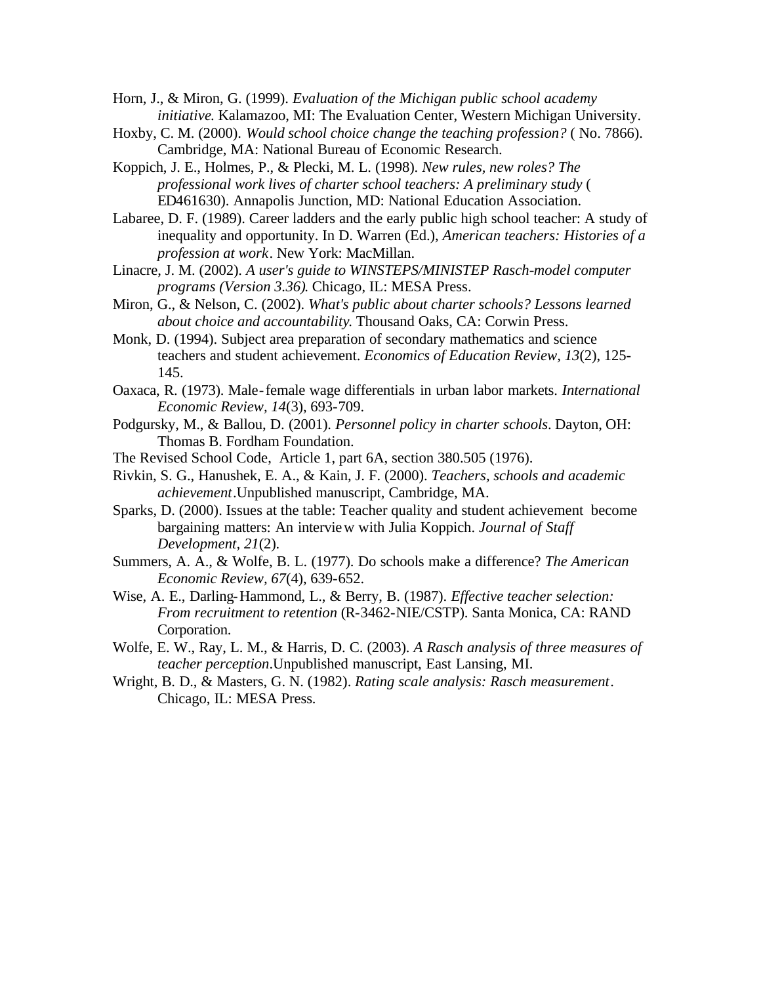Horn, J., & Miron, G. (1999). *Evaluation of the Michigan public school academy initiative*. Kalamazoo, MI: The Evaluation Center, Western Michigan University.

- Hoxby, C. M. (2000). *Would school choice change the teaching profession?* ( No. 7866). Cambridge, MA: National Bureau of Economic Research.
- Koppich, J. E., Holmes, P., & Plecki, M. L. (1998). *New rules, new roles? The professional work lives of charter school teachers: A preliminary study* ( ED461630). Annapolis Junction, MD: National Education Association.
- Labaree, D. F. (1989). Career ladders and the early public high school teacher: A study of inequality and opportunity. In D. Warren (Ed.), *American teachers: Histories of a profession at work*. New York: MacMillan.
- Linacre, J. M. (2002). *A user's guide to WINSTEPS/MINISTEP Rasch-model computer programs (Version 3.36)*. Chicago, IL: MESA Press.
- Miron, G., & Nelson, C. (2002). *What's public about charter schools? Lessons learned about choice and accountability*. Thousand Oaks, CA: Corwin Press.
- Monk, D. (1994). Subject area preparation of secondary mathematics and science teachers and student achievement. *Economics of Education Review, 13*(2), 125- 145.
- Oaxaca, R. (1973). Male-female wage differentials in urban labor markets. *International Economic Review, 14*(3), 693-709.
- Podgursky, M., & Ballou, D. (2001). *Personnel policy in charter schools*. Dayton, OH: Thomas B. Fordham Foundation.
- The Revised School Code, Article 1, part 6A, section 380.505 (1976).
- Rivkin, S. G., Hanushek, E. A., & Kain, J. F. (2000). *Teachers, schools and academic achievement*.Unpublished manuscript, Cambridge, MA.
- Sparks, D. (2000). Issues at the table: Teacher quality and student achievement become bargaining matters: An interview with Julia Koppich. *Journal of Staff Development, 21*(2).
- Summers, A. A., & Wolfe, B. L. (1977). Do schools make a difference? *The American Economic Review, 67*(4), 639-652.
- Wise, A. E., Darling-Hammond, L., & Berry, B. (1987). *Effective teacher selection: From recruitment to retention* (R-3462-NIE/CSTP). Santa Monica, CA: RAND Corporation.
- Wolfe, E. W., Ray, L. M., & Harris, D. C. (2003). *A Rasch analysis of three measures of teacher perception*.Unpublished manuscript, East Lansing, MI.
- Wright, B. D., & Masters, G. N. (1982). *Rating scale analysis: Rasch measurement*. Chicago, IL: MESA Press.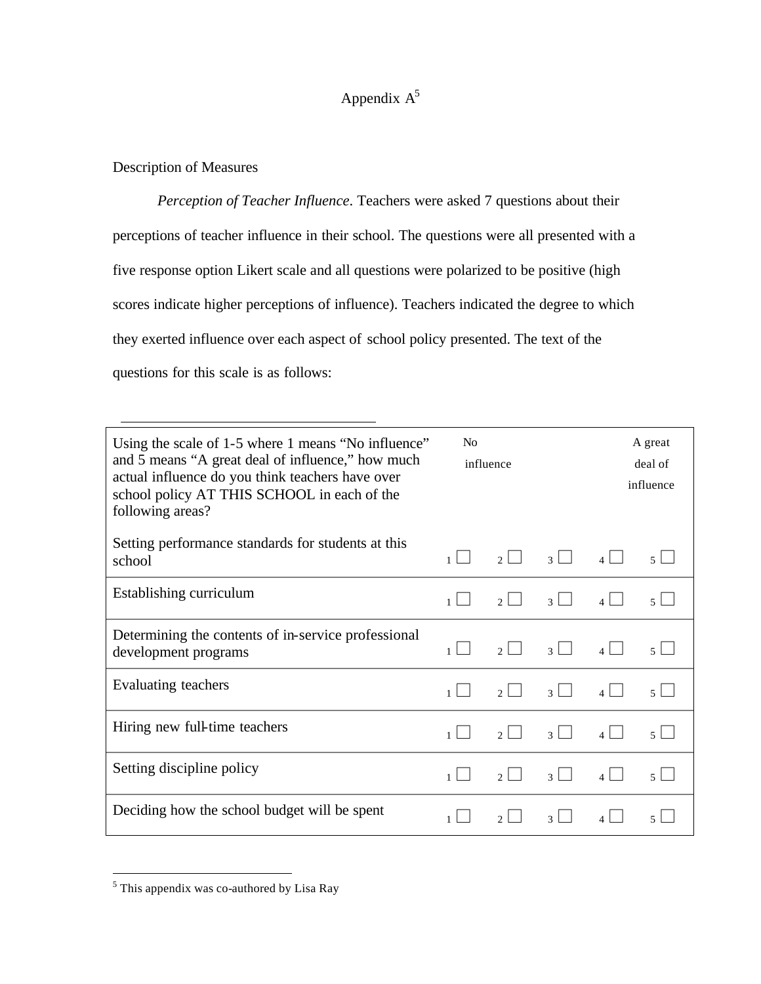# Appendix  $A^5$

# Description of Measures

*Perception of Teacher Influence*. Teachers were asked 7 questions about their perceptions of teacher influence in their school. The questions were all presented with a five response option Likert scale and all questions were polarized to be positive (high scores indicate higher perceptions of influence). Teachers indicated the degree to which they exerted influence over each aspect of school policy presented. The text of the questions for this scale is as follows:

| Using the scale of 1-5 where 1 means "No influence"<br>and 5 means "A great deal of influence," how much<br>actual influence do you think teachers have over<br>school policy AT THIS SCHOOL in each of the<br>following areas? | N <sub>0</sub><br>influence |                                 | A great<br>deal of<br>influence |              |        |
|---------------------------------------------------------------------------------------------------------------------------------------------------------------------------------------------------------------------------------|-----------------------------|---------------------------------|---------------------------------|--------------|--------|
| Setting performance standards for students at this<br>school                                                                                                                                                                    | $\mathbf{1}$                | $\mathcal{D}$                   | $\overline{3}$                  | $\mathbf{A}$ | $\leq$ |
| Establishing curriculum                                                                                                                                                                                                         | $\mathbf{1}$                | $\mathcal{D}$                   | $\mathcal{L}$                   |              | $\leq$ |
| Determining the contents of in-service professional<br>development programs                                                                                                                                                     | 1                           | $\mathcal{L}$                   | $\mathcal{R}$                   |              | $\leq$ |
| Evaluating teachers                                                                                                                                                                                                             | $\mathbf{1}$                | $\blacksquare$<br>$\mathcal{L}$ | $\blacksquare$<br>$\mathcal{R}$ | $\vert$      | $\leq$ |
| Hiring new full-time teachers                                                                                                                                                                                                   | $\mathbf{1}$                | $\mathcal{L}$                   | $\vert$ 3                       | $4 \Box$     | $\leq$ |
| Setting discipline policy                                                                                                                                                                                                       | $\mathbf{1}$                | $\mathcal{L}$                   | $\vert$ 3                       | $4 \mid$     | $\leq$ |
| Deciding how the school budget will be spent                                                                                                                                                                                    |                             | <sup>2</sup>                    | $\mathbf{3}$                    |              | 5      |

 5 This appendix was co-authored by Lisa Ray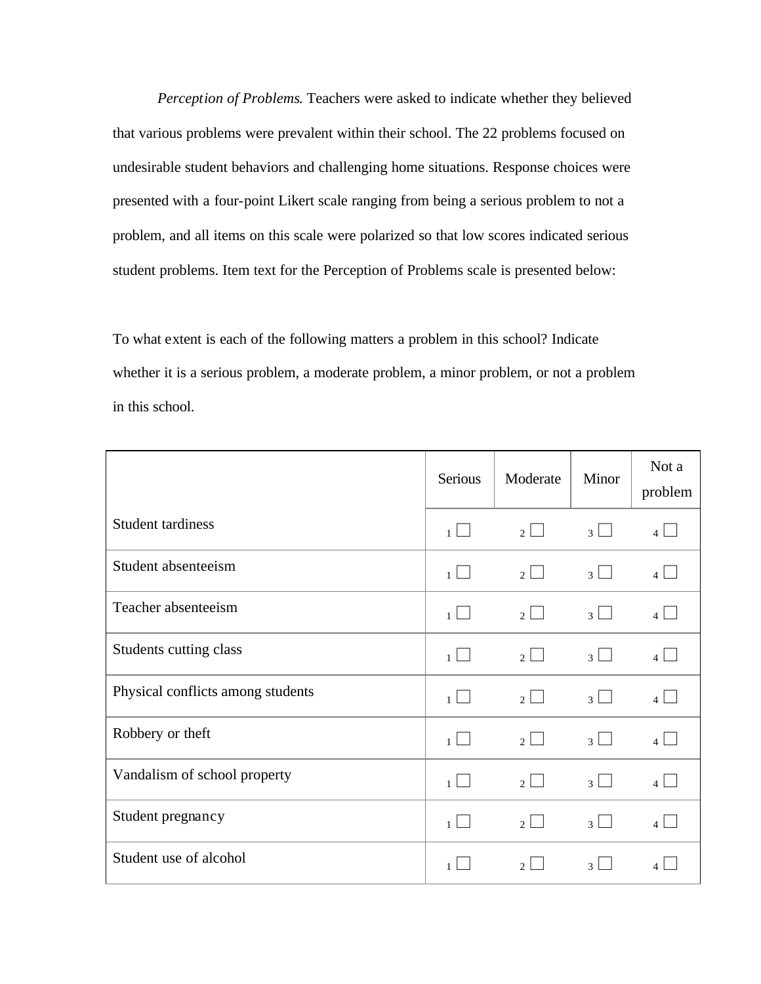*Perception of Problems*. Teachers were asked to indicate whether they believed that various problems were prevalent within their school. The 22 problems focused on undesirable student behaviors and challenging home situations. Response choices were presented with a four-point Likert scale ranging from being a serious problem to not a problem, and all items on this scale were polarized so that low scores indicated serious student problems. Item text for the Perception of Problems scale is presented below:

To what extent is each of the following matters a problem in this school? Indicate whether it is a serious problem, a moderate problem, a minor problem, or not a problem in this school.

|                                   | Serious                        | Moderate                 | Minor                       | Not a<br>problem   |
|-----------------------------------|--------------------------------|--------------------------|-----------------------------|--------------------|
| Student tardiness                 | $\mathbf{I}$<br>1              | $2\Box$                  | $\sim 10$<br>3 <sup>1</sup> | $\vert$            |
| Student absenteeism               | $\mathbf{I}$<br>1              | 2 <sup>1</sup>           | $\overline{3}$              |                    |
| Teacher absenteeism               | $\blacksquare$<br>$\mathbf{1}$ | $2 \Box$                 | 3 <sup>1</sup>              |                    |
| Students cutting class            | $\mathbf{1}$                   | $\overline{\mathcal{Z}}$ | $\overline{\mathcal{E}}$    | $\Delta$           |
| Physical conflicts among students | $\mathsf{L}$<br>1              | $2$                      | 3                           | $\vert$            |
| Robbery or theft                  | $\blacksquare$<br>$\mathbf{1}$ | $2 \Box$                 | $\overline{3}$<br>$\sim 10$ | $4 \Box$           |
| Vandalism of school property      | $\blacksquare$<br>$\mathbf{1}$ | 2 <sup>1</sup>           | $\vert$ 3                   | $\mathbf{\Lambda}$ |
| Student pregnancy                 | $\mathbf{1}$                   | 2 <sub>1</sub>           | $\mathcal{R}$               |                    |
| Student use of alcohol            |                                | $\mathfrak{D}$           | $\mathcal{F}$               |                    |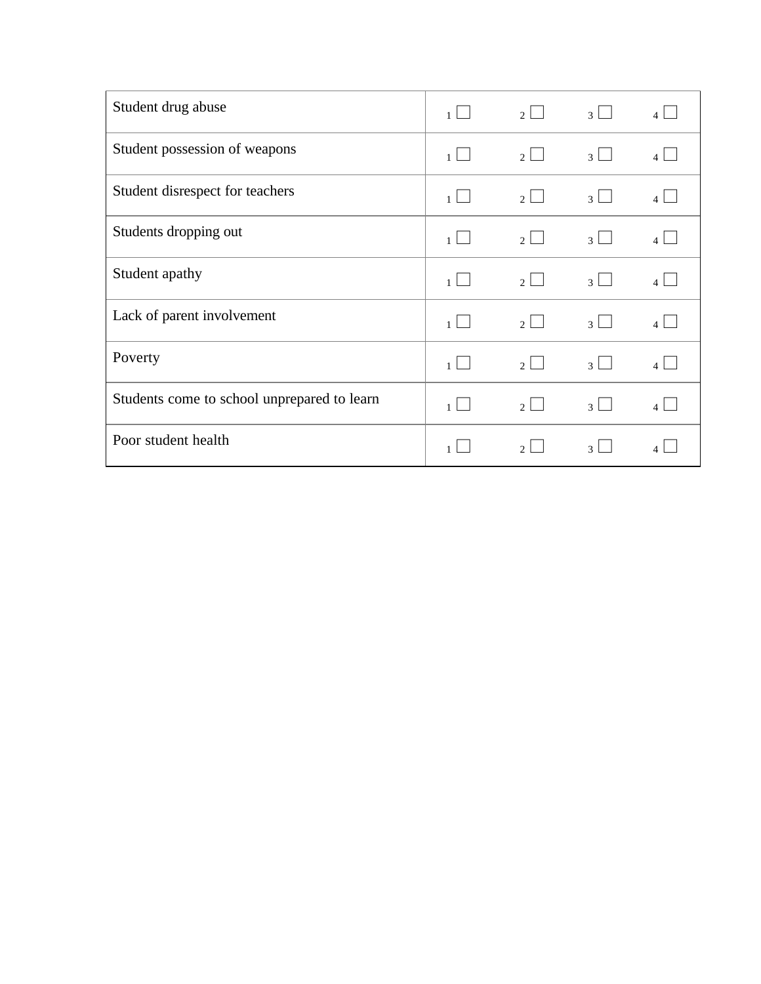| Student drug abuse                          | $\mathbf{1}$                     | $\mathcal{P}$ | 3                           |                         |
|---------------------------------------------|----------------------------------|---------------|-----------------------------|-------------------------|
| Student possession of weapons               | $1$                              | $2 \Box$      | $\overline{3}$<br>a s       |                         |
| Student disrespect for teachers             | $1 \perp$                        | $2 \Box$      | $\overline{3}$              |                         |
| Students dropping out                       | $\sim 10$<br>1                   | $\mathcal{P}$ | $\mathcal{R}$               |                         |
| Student apathy                              | $\blacksquare$<br>1 <sup>1</sup> | $\mathcal{D}$ | $\mathcal{R}$               |                         |
| Lack of parent involvement                  | $1 \Box$                         | $2 \Box$      | $\overline{3}$<br>$\sim 10$ | $\overline{4}$          |
| Poverty                                     | $1$                              | $2 \Box$      | 3 <sup>1</sup>              | $\vert$ $\vert$ $\vert$ |
| Students come to school unprepared to learn |                                  | $2 \Box$      | $\vert$ 3                   |                         |
| Poor student health                         |                                  | $\mathcal{D}$ | $\mathcal{F}$               |                         |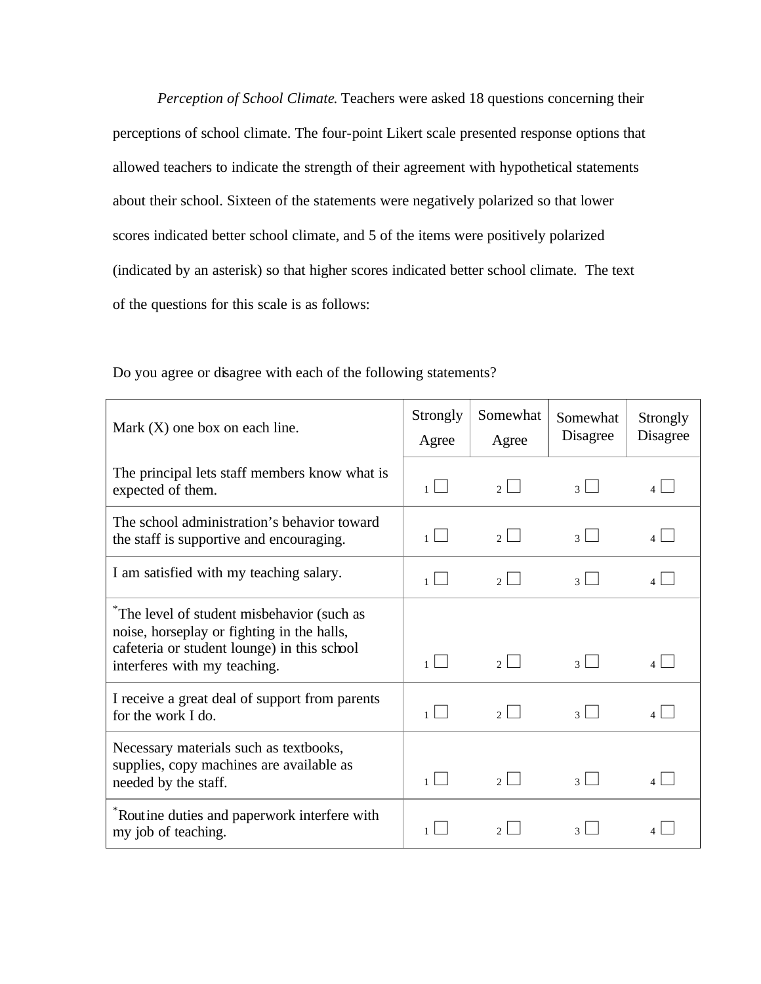*Perception of School Climate*. Teachers were asked 18 questions concerning their perceptions of school climate. The four-point Likert scale presented response options that allowed teachers to indicate the strength of their agreement with hypothetical statements about their school. Sixteen of the statements were negatively polarized so that lower scores indicated better school climate, and 5 of the items were positively polarized (indicated by an asterisk) so that higher scores indicated better school climate. The text of the questions for this scale is as follows:

| Mark $(X)$ one box on each line.                                                                                                                                       | Strongly<br>Agree | Somewhat<br>Agree | Somewhat<br>Disagree        | Strongly<br>Disagree |
|------------------------------------------------------------------------------------------------------------------------------------------------------------------------|-------------------|-------------------|-----------------------------|----------------------|
| The principal lets staff members know what is<br>expected of them.                                                                                                     | $1$               | $2 \lfloor$       | $\vert$ 3<br>$\blacksquare$ |                      |
| The school administration's behavior toward<br>the staff is supportive and encouraging.                                                                                | $1 \Box$          | $2 \Box$          | $3 \Box$                    |                      |
| I am satisfied with my teaching salary.                                                                                                                                | $1 \mid$          | 2 <sub>1</sub>    | $\overline{\mathcal{E}}$    |                      |
| The level of student misbehavior (such as<br>noise, horseplay or fighting in the halls,<br>cafeteria or student lounge) in this school<br>interferes with my teaching. | $1\vert$          | $\mathcal{P}$     | $3 \mid$                    |                      |
| I receive a great deal of support from parents<br>for the work I do.                                                                                                   | $1 \mid$          | $\mathfrak{g}$    | $\sim 10$<br>$\vert$ 3      |                      |
| Necessary materials such as textbooks,<br>supplies, copy machines are available as<br>needed by the staff.                                                             | $1 \mid$          | $\mathcal{P}$     | $\vert$ 3                   |                      |
| Routine duties and paperwork interfere with<br>my job of teaching.                                                                                                     | $\mathbf{1}$      | $\mathcal{D}$     | $\mathcal{F}$               |                      |

Do you agree or disagree with each of the following statements?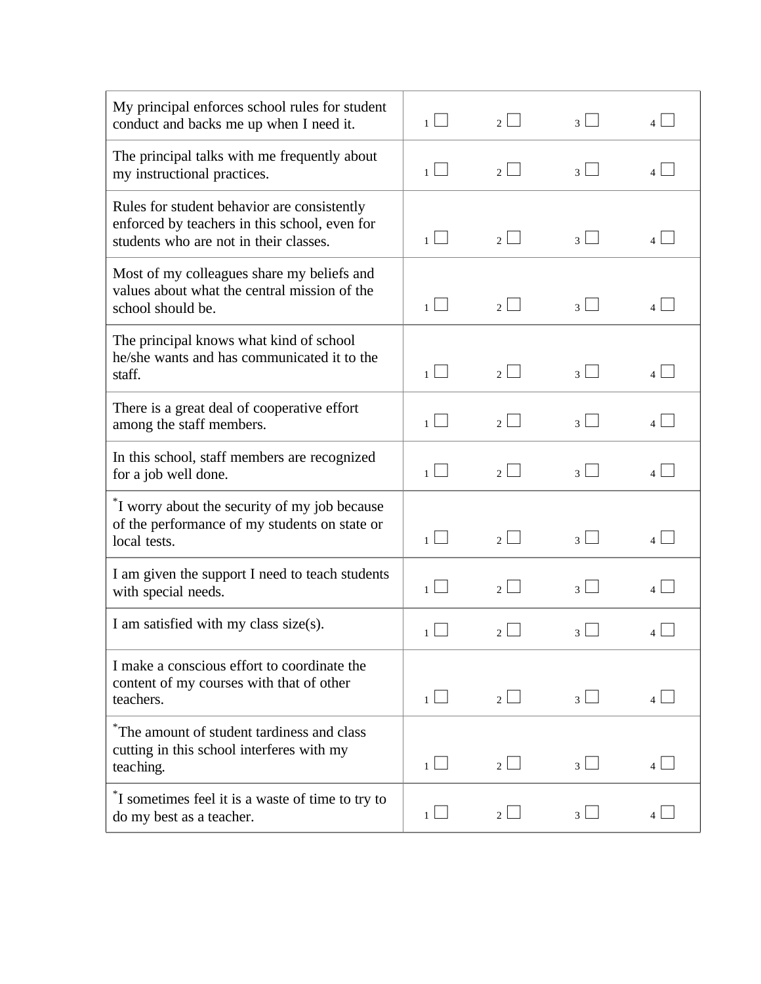| My principal enforces school rules for student<br>conduct and backs me up when I need it.                                              | 1 <sup>1</sup>                   | 2 <sup>1</sup>                   | $\overline{\mathcal{E}}$ | $\overline{4}$  |
|----------------------------------------------------------------------------------------------------------------------------------------|----------------------------------|----------------------------------|--------------------------|-----------------|
| The principal talks with me frequently about<br>my instructional practices.                                                            | 1 <sup>1</sup>                   | $\overline{2}$                   | $\mathcal{E}$            | $\overline{4}$  |
| Rules for student behavior are consistently<br>enforced by teachers in this school, even for<br>students who are not in their classes. | $1$                              | 2 <sup>1</sup>                   | $\overline{3}$           | 4 <sup>1</sup>  |
| Most of my colleagues share my beliefs and<br>values about what the central mission of the<br>school should be.                        | $1 \sqcup$                       | 2 <sub>1</sub>                   | $\overline{3}$           | 4               |
| The principal knows what kind of school<br>he/she wants and has communicated it to the<br>staff.                                       | $1$                              | 2 <sup>1</sup>                   | $\overline{\mathcal{E}}$ | $\vert$ $\vert$ |
| There is a great deal of cooperative effort<br>among the staff members.                                                                | 1 <sup>1</sup>                   | $\mathfrak{D}$                   | $\overline{\mathcal{E}}$ |                 |
| In this school, staff members are recognized<br>for a job well done.                                                                   | $\blacksquare$<br>1 <sup>1</sup> | $\mathcal{D}$                    | $\overline{\mathcal{E}}$ | 4               |
| <sup>*</sup> I worry about the security of my job because<br>of the performance of my students on state or<br>local tests.             | 1                                | $\sim$<br>2 <sub>1</sub>         | $\overline{\mathcal{E}}$ | $\vert$         |
| I am given the support I need to teach students<br>with special needs.                                                                 | 1 <sup>1</sup>                   | $\overline{2}$                   | $\mathcal{F}$            | 4 <sup>1</sup>  |
| I am satisfied with my class size(s).                                                                                                  |                                  | $\mathcal{D}$                    |                          |                 |
| I make a conscious effort to coordinate the<br>content of my courses with that of other<br>teachers.                                   | $1$                              | $2 \lfloor$                      | $3 \lfloor$              |                 |
| The amount of student tardiness and class<br>cutting in this school interferes with my<br>teaching.                                    | $1 \mid$                         | $\blacksquare$<br>2 <sup>1</sup> | $3$ $\Box$               | $\overline{4}$  |
| If sometimes feel it is a waste of time to try to<br>do my best as a teacher.                                                          | 1 <sup>1</sup>                   | 2 <sup>1</sup>                   | $\overline{3}$           | $\overline{4}$  |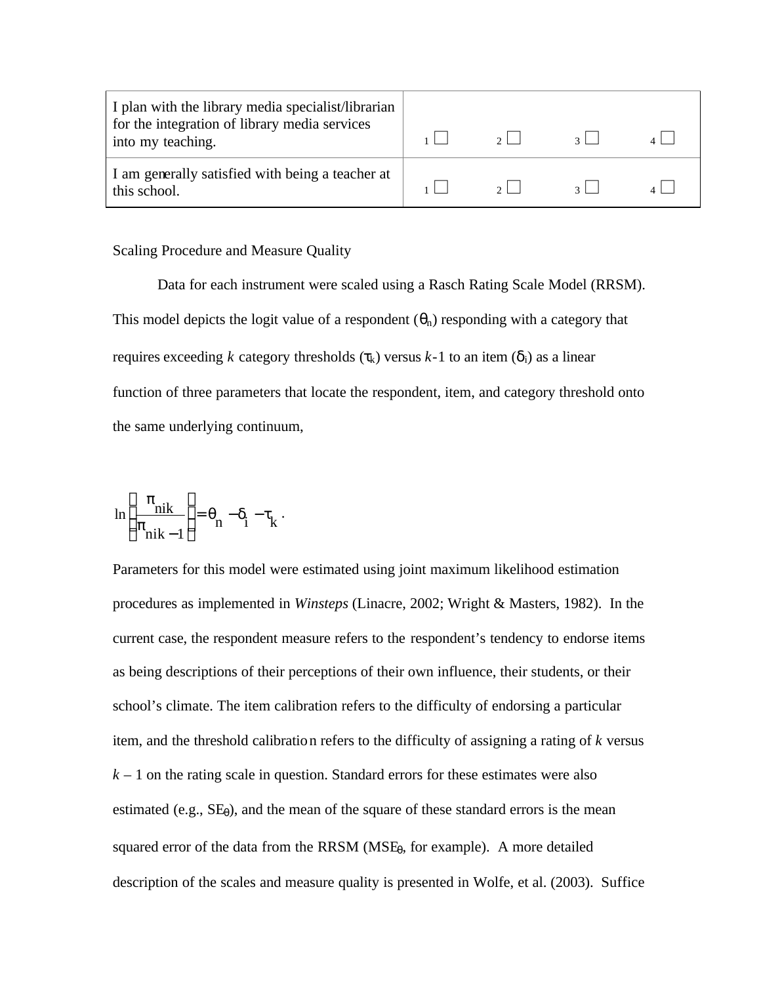| I plan with the library media specialist/librarian<br>for the integration of library media services<br>into my teaching. | $2 \mid$ | $\overline{2}$ |  |
|--------------------------------------------------------------------------------------------------------------------------|----------|----------------|--|
| I am generally satisfied with being a teacher at<br>this school.                                                         | $\gamma$ |                |  |

### Scaling Procedure and Measure Quality

Data for each instrument were scaled using a Rasch Rating Scale Model (RRSM). This model depicts the logit value of a respondent  $(\theta_n)$  responding with a category that requires exceeding *k* category thresholds (τ<sub>k</sub>) versus *k*-1 to an item (δ<sub>i</sub>) as a linear function of three parameters that locate the respondent, item, and category threshold onto the same underlying continuum,

$$
\ln\left(\frac{\pi_{nik}}{\pi_{nik-1}}\right) = \theta_n - \delta_i - \tau_k.
$$

Parameters for this model were estimated using joint maximum likelihood estimation procedures as implemented in *Winsteps* (Linacre, 2002; Wright & Masters, 1982). In the current case, the respondent measure refers to the respondent's tendency to endorse items as being descriptions of their perceptions of their own influence, their students, or their school's climate. The item calibration refers to the difficulty of endorsing a particular item, and the threshold calibration refers to the difficulty of assigning a rating of *k* versus  $k-1$  on the rating scale in question. Standard errors for these estimates were also estimated (e.g.,  $SE_{\theta}$ ), and the mean of the square of these standard errors is the mean squared error of the data from the RRSM  $(MSE_\theta)$ , for example). A more detailed description of the scales and measure quality is presented in Wolfe, et al. (2003). Suffice